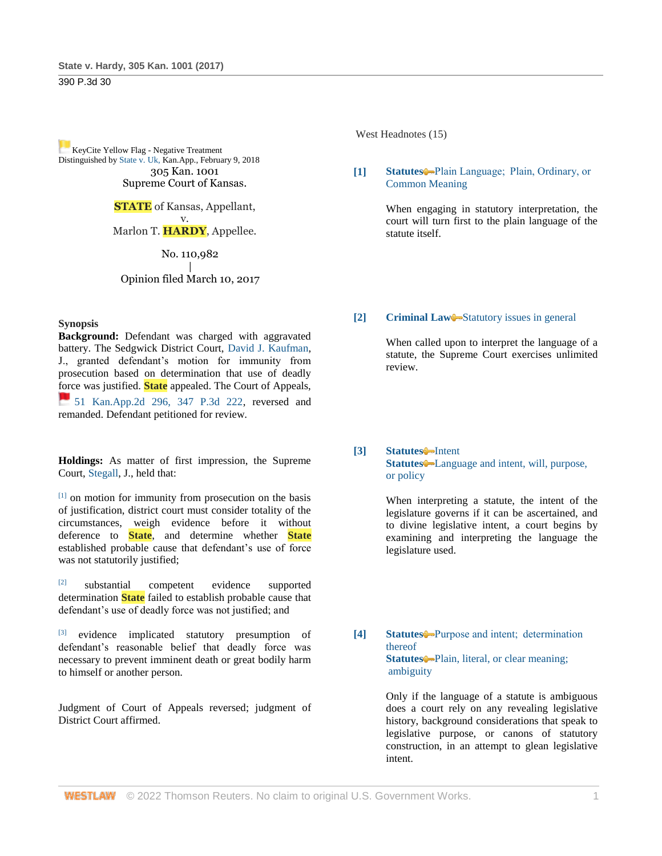390 P.3d 30

[K](https://1.next.westlaw.com/Link/RelatedInformation/Flag?documentGuid=Ia2bb6a700dc511e8a9cdefc89ba18cd7&transitionType=Document&originationContext=docHeaderFlag&Rank=1&ppcid=ff0e76f57f5a4df687371872e7b1430e&contextData=(sc.Search))eyCite Yellow Flag - Negative Treatment Distinguished b[y State v. Uk, K](https://www.westlaw.com/Document/Ia2bb6a700dc511e8a9cdefc89ba18cd7/View/FullText.html?navigationPath=RelatedInfo%2Fv4%2Fkeycite%2Fnav%2F%3Fguid%3DIa2bb6a700dc511e8a9cdefc89ba18cd7%26ss%3D2041235268%26ds%3D2043786387%26origDocGuid%3DIac380380098211e7b984d2f99f0977c6&listSource=RelatedInfo&list=NegativeCitingReferences&rank=0&ppcid=ff0e76f57f5a4df687371872e7b1430e&originationContext=docHeader&transitionType=NegativeTreatment&contextData=%28sc.Search%29&VR=3.0&RS=cblt1.0)an.App., February 9, 2018 305 Kan. 1001 Supreme Court of Kansas.

> **STATE** of Kansas, Appellant, v. Marlon T. **HARDY**, Appellee.

> > No. 110,982

### | Opinion filed March 10, 2017

## **Synopsis**

**Background:** Defendant was charged with aggravated battery. The Sedgwick District Court, [David J. Kaufman,](http://www.westlaw.com/Link/Document/FullText?findType=h&pubNum=176284&cite=0148220201&originatingDoc=Iac380380098211e7b984d2f99f0977c6&refType=RQ&originationContext=document&vr=3.0&rs=cblt1.0&transitionType=DocumentItem&contextData=(sc.Search)) J., granted defendant's motion for immunity from prosecution based on determination that use of deadly force was justified. **State** appealed. The Court of Appeals, [51 Kan.App.2d 296, 347 P.3d 222,](https://1.next.westlaw.com/Link/RelatedInformation/Flag?documentGuid=I5df036e0d52411e4b4bafa136b480ad2&transitionType=InlineKeyCiteFlags&originationContext=docHeaderFlag&Rank=1&ppcid=ff0e76f57f5a4df687371872e7b1430e&contextData=(sc.Search)) reversed and remanded. Defendant petitioned for review.

**Holdings:** As matter of first impression, the Supreme Court, [Stegall,](http://www.westlaw.com/Link/Document/FullText?findType=h&pubNum=176284&cite=0482985901&originatingDoc=Iac380380098211e7b984d2f99f0977c6&refType=RQ&originationContext=document&vr=3.0&rs=cblt1.0&transitionType=DocumentItem&contextData=(sc.Search)) J., held that:

[1] on motion for immunity from prosecution on the basis of justification, district court must consider totality of the circumstances, weigh evidence before it without deference to **State**, and determine whether **State** established probable cause that defendant's use of force was not statutorily justified;

[2] substantial competent evidence supported determination **State** failed to establish probable cause that defendant's use of deadly force was not justified; and

[3] evidence implicated statutory presumption of defendant's reasonable belief that deadly force was necessary to prevent imminent death or great bodily harm to himself or another person.

Judgment of Court of Appeals reversed; judgment of District Court affirmed.

West Headnotes (15)

## **[1] [Statutes](http://www.westlaw.com/Browse/Home/KeyNumber/361/View.html?docGuid=Iac380380098211e7b984d2f99f0977c6&originationContext=document&vr=3.0&rs=cblt1.0&transitionType=DocumentItem&contextData=(sc.Search))** [Plain Language;  Plain, Ordinary, or](http://www.westlaw.com/Browse/Home/KeyNumber/361III(B)/View.html?docGuid=Iac380380098211e7b984d2f99f0977c6&originationContext=document&vr=3.0&rs=cblt1.0&transitionType=DocumentItem&contextData=(sc.Search))  [Common Meaning](http://www.westlaw.com/Browse/Home/KeyNumber/361III(B)/View.html?docGuid=Iac380380098211e7b984d2f99f0977c6&originationContext=document&vr=3.0&rs=cblt1.0&transitionType=DocumentItem&contextData=(sc.Search))

When engaging in statutory interpretation, the court will turn first to the plain language of the statute itself.

## **[2] [Criminal Law](http://www.westlaw.com/Browse/Home/KeyNumber/110/View.html?docGuid=Iac380380098211e7b984d2f99f0977c6&originationContext=document&vr=3.0&rs=cblt1.0&transitionType=DocumentItem&contextData=(sc.Search))** [Statutory issues in general](http://www.westlaw.com/Browse/Home/KeyNumber/110k1134.28/View.html?docGuid=Iac380380098211e7b984d2f99f0977c6&originationContext=document&vr=3.0&rs=cblt1.0&transitionType=DocumentItem&contextData=(sc.Search))

When called upon to interpret the language of a statute, the Supreme Court exercises unlimited review.

## **[3] [Statutes](http://www.westlaw.com/Browse/Home/KeyNumber/361/View.html?docGuid=Iac380380098211e7b984d2f99f0977c6&originationContext=document&vr=3.0&rs=cblt1.0&transitionType=DocumentItem&contextData=(sc.Search))** [Intent](http://www.westlaw.com/Browse/Home/KeyNumber/361k1071/View.html?docGuid=Iac380380098211e7b984d2f99f0977c6&originationContext=document&vr=3.0&rs=cblt1.0&transitionType=DocumentItem&contextData=(sc.Search)) [Statutes](http://www.westlaw.com/Browse/Home/KeyNumber/361/View.html?docGuid=Iac380380098211e7b984d2f99f0977c6&originationContext=document&vr=3.0&rs=cblt1.0&transitionType=DocumentItem&contextData=(sc.Search))<sup>•</sup>-Language and intent, will, purpose, [or policy](http://www.westlaw.com/Browse/Home/KeyNumber/361k1080/View.html?docGuid=Iac380380098211e7b984d2f99f0977c6&originationContext=document&vr=3.0&rs=cblt1.0&transitionType=DocumentItem&contextData=(sc.Search))

When interpreting a statute, the intent of the legislature governs if it can be ascertained, and to divine legislative intent, a court begins by examining and interpreting the language the legislature used.

**[4] [Statutes](http://www.westlaw.com/Browse/Home/KeyNumber/361/View.html?docGuid=Iac380380098211e7b984d2f99f0977c6&originationContext=document&vr=3.0&rs=cblt1.0&transitionType=DocumentItem&contextData=(sc.Search))** [Purpose and intent;  determination](http://www.westlaw.com/Browse/Home/KeyNumber/361k1105/View.html?docGuid=Iac380380098211e7b984d2f99f0977c6&originationContext=document&vr=3.0&rs=cblt1.0&transitionType=DocumentItem&contextData=(sc.Search))  [thereof](http://www.westlaw.com/Browse/Home/KeyNumber/361k1105/View.html?docGuid=Iac380380098211e7b984d2f99f0977c6&originationContext=document&vr=3.0&rs=cblt1.0&transitionType=DocumentItem&contextData=(sc.Search)) **[Statutes](http://www.westlaw.com/Browse/Home/KeyNumber/361/View.html?docGuid=Iac380380098211e7b984d2f99f0977c6&originationContext=document&vr=3.0&rs=cblt1.0&transitionType=DocumentItem&contextData=(sc.Search))** Plain, literal, or clear meaning; [ambiguity](http://www.westlaw.com/Browse/Home/KeyNumber/361k1242/View.html?docGuid=Iac380380098211e7b984d2f99f0977c6&originationContext=document&vr=3.0&rs=cblt1.0&transitionType=DocumentItem&contextData=(sc.Search))

> Only if the language of a statute is ambiguous does a court rely on any revealing legislative history, background considerations that speak to legislative purpose, or canons of statutory construction, in an attempt to glean legislative intent.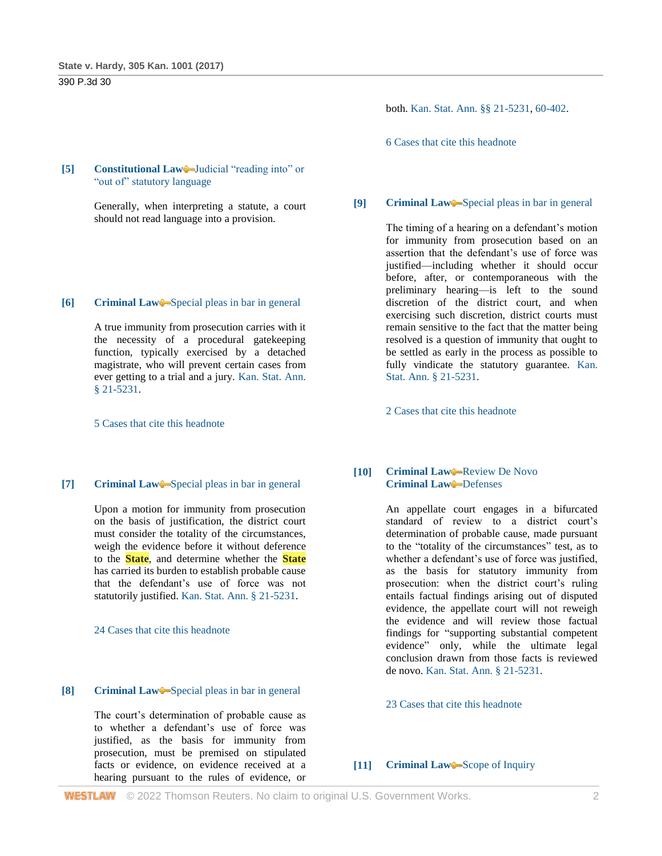# 390 P.3d 30

### **[5] [Constitutional Law](http://www.westlaw.com/Browse/Home/KeyNumber/92/View.html?docGuid=Iac380380098211e7b984d2f99f0977c6&originationContext=document&vr=3.0&rs=cblt1.0&transitionType=DocumentItem&contextData=(sc.Search))** Judicial "reading into" or ["out of" statutory language](http://www.westlaw.com/Browse/Home/KeyNumber/92k2475/View.html?docGuid=Iac380380098211e7b984d2f99f0977c6&originationContext=document&vr=3.0&rs=cblt1.0&transitionType=DocumentItem&contextData=(sc.Search))

Generally, when interpreting a statute, a court should not read language into a provision.

## **[6] [Criminal Law](http://www.westlaw.com/Browse/Home/KeyNumber/110/View.html?docGuid=Iac380380098211e7b984d2f99f0977c6&originationContext=document&vr=3.0&rs=cblt1.0&transitionType=DocumentItem&contextData=(sc.Search))** [Special pleas in bar in general](http://www.westlaw.com/Browse/Home/KeyNumber/110k286/View.html?docGuid=Iac380380098211e7b984d2f99f0977c6&originationContext=document&vr=3.0&rs=cblt1.0&transitionType=DocumentItem&contextData=(sc.Search))

A true immunity from prosecution carries with it the necessity of a procedural gatekeeping function, typically exercised by a detached magistrate, who will prevent certain cases from ever getting to a trial and a jury. [Kan. Stat. Ann.](http://www.westlaw.com/Link/Document/FullText?findType=L&pubNum=1001553&cite=KSSTS21-5231&originatingDoc=Iac380380098211e7b984d2f99f0977c6&refType=LQ&originationContext=document&vr=3.0&rs=cblt1.0&transitionType=DocumentItem&contextData=(sc.Search))  [§ 21-5231.](http://www.westlaw.com/Link/Document/FullText?findType=L&pubNum=1001553&cite=KSSTS21-5231&originatingDoc=Iac380380098211e7b984d2f99f0977c6&refType=LQ&originationContext=document&vr=3.0&rs=cblt1.0&transitionType=DocumentItem&contextData=(sc.Search))

[5 Cases that cite this headnote](http://www.westlaw.com/Link/RelatedInformation/DocHeadnoteLink?docGuid=Iac380380098211e7b984d2f99f0977c6&headnoteId=204123526800620200724173342&originationContext=document&vr=3.0&rs=cblt1.0&transitionType=CitingReferences&contextData=(sc.Search))

### **[7] [Criminal Law](http://www.westlaw.com/Browse/Home/KeyNumber/110/View.html?docGuid=Iac380380098211e7b984d2f99f0977c6&originationContext=document&vr=3.0&rs=cblt1.0&transitionType=DocumentItem&contextData=(sc.Search))** [Special pleas in bar in general](http://www.westlaw.com/Browse/Home/KeyNumber/110k286/View.html?docGuid=Iac380380098211e7b984d2f99f0977c6&originationContext=document&vr=3.0&rs=cblt1.0&transitionType=DocumentItem&contextData=(sc.Search))

Upon a motion for immunity from prosecution on the basis of justification, the district court must consider the totality of the circumstances, weigh the evidence before it without deference to the **State**, and determine whether the **State** has carried its burden to establish probable cause that the defendant's use of force was not statutorily justified. [Kan. Stat. Ann. § 21-5231.](http://www.westlaw.com/Link/Document/FullText?findType=L&pubNum=1001553&cite=KSSTS21-5231&originatingDoc=Iac380380098211e7b984d2f99f0977c6&refType=LQ&originationContext=document&vr=3.0&rs=cblt1.0&transitionType=DocumentItem&contextData=(sc.Search))

#### [24 Cases that cite this headnote](http://www.westlaw.com/Link/RelatedInformation/DocHeadnoteLink?docGuid=Iac380380098211e7b984d2f99f0977c6&headnoteId=204123526800820200724173342&originationContext=document&vr=3.0&rs=cblt1.0&transitionType=CitingReferences&contextData=(sc.Search))

### **[8] [Criminal Law](http://www.westlaw.com/Browse/Home/KeyNumber/110/View.html?docGuid=Iac380380098211e7b984d2f99f0977c6&originationContext=document&vr=3.0&rs=cblt1.0&transitionType=DocumentItem&contextData=(sc.Search))** [Special pleas in bar in general](http://www.westlaw.com/Browse/Home/KeyNumber/110k286/View.html?docGuid=Iac380380098211e7b984d2f99f0977c6&originationContext=document&vr=3.0&rs=cblt1.0&transitionType=DocumentItem&contextData=(sc.Search))

The court's determination of probable cause as to whether a defendant's use of force was justified, as the basis for immunity from prosecution, must be premised on stipulated facts or evidence, on evidence received at a hearing pursuant to the rules of evidence, or both. [Kan. Stat. Ann. §§ 21-5231,](http://www.westlaw.com/Link/Document/FullText?findType=L&pubNum=1001553&cite=KSSTS21-5231&originatingDoc=Iac380380098211e7b984d2f99f0977c6&refType=LQ&originationContext=document&vr=3.0&rs=cblt1.0&transitionType=DocumentItem&contextData=(sc.Search)) [60-402.](http://www.westlaw.com/Link/Document/FullText?findType=L&pubNum=1001553&cite=KSSTS60-402&originatingDoc=Iac380380098211e7b984d2f99f0977c6&refType=LQ&originationContext=document&vr=3.0&rs=cblt1.0&transitionType=DocumentItem&contextData=(sc.Search))

[6 Cases that cite this headnote](http://www.westlaw.com/Link/RelatedInformation/DocHeadnoteLink?docGuid=Iac380380098211e7b984d2f99f0977c6&headnoteId=204123526800920200724173342&originationContext=document&vr=3.0&rs=cblt1.0&transitionType=CitingReferences&contextData=(sc.Search))

#### **[9] [Criminal Law](http://www.westlaw.com/Browse/Home/KeyNumber/110/View.html?docGuid=Iac380380098211e7b984d2f99f0977c6&originationContext=document&vr=3.0&rs=cblt1.0&transitionType=DocumentItem&contextData=(sc.Search))** [Special pleas in bar in general](http://www.westlaw.com/Browse/Home/KeyNumber/110k286/View.html?docGuid=Iac380380098211e7b984d2f99f0977c6&originationContext=document&vr=3.0&rs=cblt1.0&transitionType=DocumentItem&contextData=(sc.Search))

The timing of a hearing on a defendant's motion for immunity from prosecution based on an assertion that the defendant's use of force was justified—including whether it should occur before, after, or contemporaneous with the preliminary hearing—is left to the sound discretion of the district court, and when exercising such discretion, district courts must remain sensitive to the fact that the matter being resolved is a question of immunity that ought to be settled as early in the process as possible to fully vindicate the statutory guarantee. Kan. [Stat. Ann. § 21-5231.](http://www.westlaw.com/Link/Document/FullText?findType=L&pubNum=1001553&cite=KSSTS21-5231&originatingDoc=Iac380380098211e7b984d2f99f0977c6&refType=LQ&originationContext=document&vr=3.0&rs=cblt1.0&transitionType=DocumentItem&contextData=(sc.Search))

[2 Cases that cite this headnote](http://www.westlaw.com/Link/RelatedInformation/DocHeadnoteLink?docGuid=Iac380380098211e7b984d2f99f0977c6&headnoteId=204123526801020200724173342&originationContext=document&vr=3.0&rs=cblt1.0&transitionType=CitingReferences&contextData=(sc.Search))

## **[10] [Criminal Law](http://www.westlaw.com/Browse/Home/KeyNumber/110/View.html?docGuid=Iac380380098211e7b984d2f99f0977c6&originationContext=document&vr=3.0&rs=cblt1.0&transitionType=DocumentItem&contextData=(sc.Search))** [Review De Novo](http://www.westlaw.com/Browse/Home/KeyNumber/110XXIV(L)13/View.html?docGuid=Iac380380098211e7b984d2f99f0977c6&originationContext=document&vr=3.0&rs=cblt1.0&transitionType=DocumentItem&contextData=(sc.Search)) **[Criminal Law](http://www.westlaw.com/Browse/Home/KeyNumber/110/View.html?docGuid=Iac380380098211e7b984d2f99f0977c6&originationContext=document&vr=3.0&rs=cblt1.0&transitionType=DocumentItem&contextData=(sc.Search))** [Defenses](http://www.westlaw.com/Browse/Home/KeyNumber/110k1158.4/View.html?docGuid=Iac380380098211e7b984d2f99f0977c6&originationContext=document&vr=3.0&rs=cblt1.0&transitionType=DocumentItem&contextData=(sc.Search))

An appellate court engages in a bifurcated standard of review to a district court's determination of probable cause, made pursuant to the "totality of the circumstances" test, as to whether a defendant's use of force was justified, as the basis for statutory immunity from prosecution: when the district court's ruling entails factual findings arising out of disputed evidence, the appellate court will not reweigh the evidence and will review those factual findings for "supporting substantial competent evidence" only, while the ultimate legal conclusion drawn from those facts is reviewed de novo. [Kan. Stat. Ann. § 21-5231.](http://www.westlaw.com/Link/Document/FullText?findType=L&pubNum=1001553&cite=KSSTS21-5231&originatingDoc=Iac380380098211e7b984d2f99f0977c6&refType=LQ&originationContext=document&vr=3.0&rs=cblt1.0&transitionType=DocumentItem&contextData=(sc.Search))

### [23 Cases that cite this headnote](http://www.westlaw.com/Link/RelatedInformation/DocHeadnoteLink?docGuid=Iac380380098211e7b984d2f99f0977c6&headnoteId=204123526801120200724173342&originationContext=document&vr=3.0&rs=cblt1.0&transitionType=CitingReferences&contextData=(sc.Search))

#### **[11] [Criminal Law](http://www.westlaw.com/Browse/Home/KeyNumber/110/View.html?docGuid=Iac380380098211e7b984d2f99f0977c6&originationContext=document&vr=3.0&rs=cblt1.0&transitionType=DocumentItem&contextData=(sc.Search))** [Scope of Inquiry](http://www.westlaw.com/Browse/Home/KeyNumber/110XXIV(L)4/View.html?docGuid=Iac380380098211e7b984d2f99f0977c6&originationContext=document&vr=3.0&rs=cblt1.0&transitionType=DocumentItem&contextData=(sc.Search))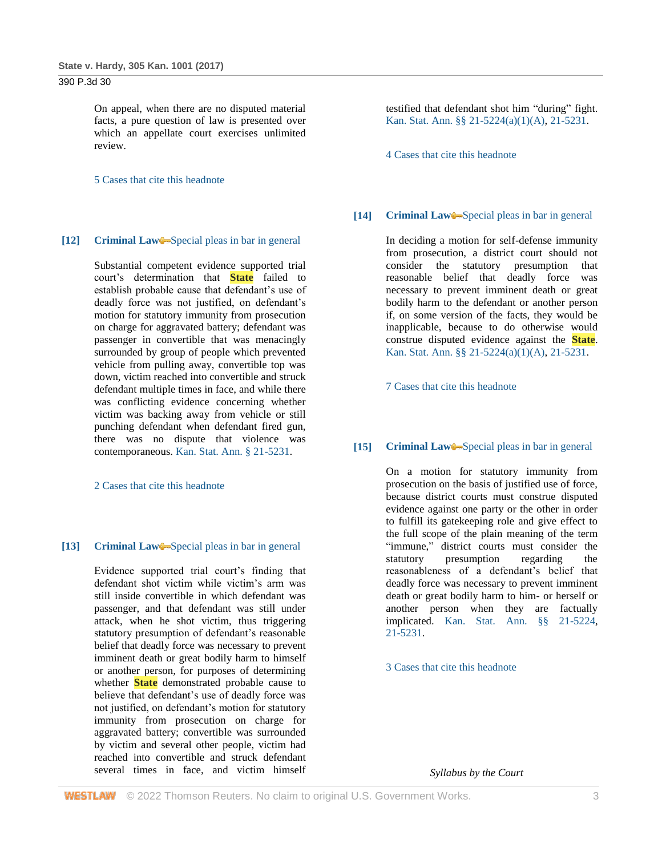# 390 P.3d 30

On appeal, when there are no disputed material facts, a pure question of law is presented over which an appellate court exercises unlimited review.

[5 Cases that cite this headnote](http://www.westlaw.com/Link/RelatedInformation/DocHeadnoteLink?docGuid=Iac380380098211e7b984d2f99f0977c6&headnoteId=204123526801220200724173342&originationContext=document&vr=3.0&rs=cblt1.0&transitionType=CitingReferences&contextData=(sc.Search))

### **[12] [Criminal Law](http://www.westlaw.com/Browse/Home/KeyNumber/110/View.html?docGuid=Iac380380098211e7b984d2f99f0977c6&originationContext=document&vr=3.0&rs=cblt1.0&transitionType=DocumentItem&contextData=(sc.Search))** [Special pleas in bar in general](http://www.westlaw.com/Browse/Home/KeyNumber/110k286/View.html?docGuid=Iac380380098211e7b984d2f99f0977c6&originationContext=document&vr=3.0&rs=cblt1.0&transitionType=DocumentItem&contextData=(sc.Search))

Substantial competent evidence supported trial court's determination that **State** failed to establish probable cause that defendant's use of deadly force was not justified, on defendant's motion for statutory immunity from prosecution on charge for aggravated battery; defendant was passenger in convertible that was menacingly surrounded by group of people which prevented vehicle from pulling away, convertible top was down, victim reached into convertible and struck defendant multiple times in face, and while there was conflicting evidence concerning whether victim was backing away from vehicle or still punching defendant when defendant fired gun, there was no dispute that violence was contemporaneous[. Kan. Stat. Ann. § 21-5231.](http://www.westlaw.com/Link/Document/FullText?findType=L&pubNum=1001553&cite=KSSTS21-5231&originatingDoc=Iac380380098211e7b984d2f99f0977c6&refType=LQ&originationContext=document&vr=3.0&rs=cblt1.0&transitionType=DocumentItem&contextData=(sc.Search))

[2 Cases that cite this headnote](http://www.westlaw.com/Link/RelatedInformation/DocHeadnoteLink?docGuid=Iac380380098211e7b984d2f99f0977c6&headnoteId=204123526801320200724173342&originationContext=document&vr=3.0&rs=cblt1.0&transitionType=CitingReferences&contextData=(sc.Search))

#### [13] **[Criminal Law](http://www.westlaw.com/Browse/Home/KeyNumber/110/View.html?docGuid=Iac380380098211e7b984d2f99f0977c6&originationContext=document&vr=3.0&rs=cblt1.0&transitionType=DocumentItem&contextData=(sc.Search))** [Special pleas in bar in general](http://www.westlaw.com/Browse/Home/KeyNumber/110k286/View.html?docGuid=Iac380380098211e7b984d2f99f0977c6&originationContext=document&vr=3.0&rs=cblt1.0&transitionType=DocumentItem&contextData=(sc.Search))

Evidence supported trial court's finding that defendant shot victim while victim's arm was still inside convertible in which defendant was passenger, and that defendant was still under attack, when he shot victim, thus triggering statutory presumption of defendant's reasonable belief that deadly force was necessary to prevent imminent death or great bodily harm to himself or another person, for purposes of determining whether **State** demonstrated probable cause to believe that defendant's use of deadly force was not justified, on defendant's motion for statutory immunity from prosecution on charge for aggravated battery; convertible was surrounded by victim and several other people, victim had reached into convertible and struck defendant several times in face, and victim himself testified that defendant shot him "during" fight. [Kan. Stat. Ann. §§ 21-5224\(a\)\(1\)\(A\),](http://www.westlaw.com/Link/Document/FullText?findType=L&pubNum=1001553&cite=KSSTS21-5224&originatingDoc=Iac380380098211e7b984d2f99f0977c6&refType=SP&originationContext=document&vr=3.0&rs=cblt1.0&transitionType=DocumentItem&contextData=(sc.Search)#co_pp_a5e1000094854) [21-5231.](http://www.westlaw.com/Link/Document/FullText?findType=L&pubNum=1001553&cite=KSSTS21-5231&originatingDoc=Iac380380098211e7b984d2f99f0977c6&refType=LQ&originationContext=document&vr=3.0&rs=cblt1.0&transitionType=DocumentItem&contextData=(sc.Search))

[4 Cases that cite this headnote](http://www.westlaw.com/Link/RelatedInformation/DocHeadnoteLink?docGuid=Iac380380098211e7b984d2f99f0977c6&headnoteId=204123526801420200724173342&originationContext=document&vr=3.0&rs=cblt1.0&transitionType=CitingReferences&contextData=(sc.Search))

#### **[14] [Criminal Law](http://www.westlaw.com/Browse/Home/KeyNumber/110/View.html?docGuid=Iac380380098211e7b984d2f99f0977c6&originationContext=document&vr=3.0&rs=cblt1.0&transitionType=DocumentItem&contextData=(sc.Search))**—[Special pleas in bar in general](http://www.westlaw.com/Browse/Home/KeyNumber/110k286/View.html?docGuid=Iac380380098211e7b984d2f99f0977c6&originationContext=document&vr=3.0&rs=cblt1.0&transitionType=DocumentItem&contextData=(sc.Search))

In deciding a motion for self-defense immunity from prosecution, a district court should not consider the statutory presumption that reasonable belief that deadly force was necessary to prevent imminent death or great bodily harm to the defendant or another person if, on some version of the facts, they would be inapplicable, because to do otherwise would construe disputed evidence against the **State**. [Kan. Stat. Ann. §§ 21-5224\(a\)\(1\)\(A\),](http://www.westlaw.com/Link/Document/FullText?findType=L&pubNum=1001553&cite=KSSTS21-5224&originatingDoc=Iac380380098211e7b984d2f99f0977c6&refType=SP&originationContext=document&vr=3.0&rs=cblt1.0&transitionType=DocumentItem&contextData=(sc.Search)#co_pp_a5e1000094854) [21-5231.](http://www.westlaw.com/Link/Document/FullText?findType=L&pubNum=1001553&cite=KSSTS21-5231&originatingDoc=Iac380380098211e7b984d2f99f0977c6&refType=LQ&originationContext=document&vr=3.0&rs=cblt1.0&transitionType=DocumentItem&contextData=(sc.Search))

[7 Cases that cite this headnote](http://www.westlaw.com/Link/RelatedInformation/DocHeadnoteLink?docGuid=Iac380380098211e7b984d2f99f0977c6&headnoteId=204123526801520200724173342&originationContext=document&vr=3.0&rs=cblt1.0&transitionType=CitingReferences&contextData=(sc.Search))

### **[15] [Criminal Law](http://www.westlaw.com/Browse/Home/KeyNumber/110/View.html?docGuid=Iac380380098211e7b984d2f99f0977c6&originationContext=document&vr=3.0&rs=cblt1.0&transitionType=DocumentItem&contextData=(sc.Search))** [Special pleas in bar in general](http://www.westlaw.com/Browse/Home/KeyNumber/110k286/View.html?docGuid=Iac380380098211e7b984d2f99f0977c6&originationContext=document&vr=3.0&rs=cblt1.0&transitionType=DocumentItem&contextData=(sc.Search))

On a motion for statutory immunity from prosecution on the basis of justified use of force, because district courts must construe disputed evidence against one party or the other in order to fulfill its gatekeeping role and give effect to the full scope of the plain meaning of the term "immune," district courts must consider the statutory presumption regarding the reasonableness of a defendant's belief that deadly force was necessary to prevent imminent death or great bodily harm to him- or herself or another person when they are factually implicated. [Kan. Stat. Ann. §§ 21-5224,](http://www.westlaw.com/Link/Document/FullText?findType=L&pubNum=1001553&cite=KSSTS21-5224&originatingDoc=Iac380380098211e7b984d2f99f0977c6&refType=LQ&originationContext=document&vr=3.0&rs=cblt1.0&transitionType=DocumentItem&contextData=(sc.Search)) [21-5231.](http://www.westlaw.com/Link/Document/FullText?findType=L&pubNum=1001553&cite=KSSTS21-5231&originatingDoc=Iac380380098211e7b984d2f99f0977c6&refType=LQ&originationContext=document&vr=3.0&rs=cblt1.0&transitionType=DocumentItem&contextData=(sc.Search))

[3 Cases that cite this headnote](http://www.westlaw.com/Link/RelatedInformation/DocHeadnoteLink?docGuid=Iac380380098211e7b984d2f99f0977c6&headnoteId=204123526801720200724173342&originationContext=document&vr=3.0&rs=cblt1.0&transitionType=CitingReferences&contextData=(sc.Search))

*Syllabus by the Court*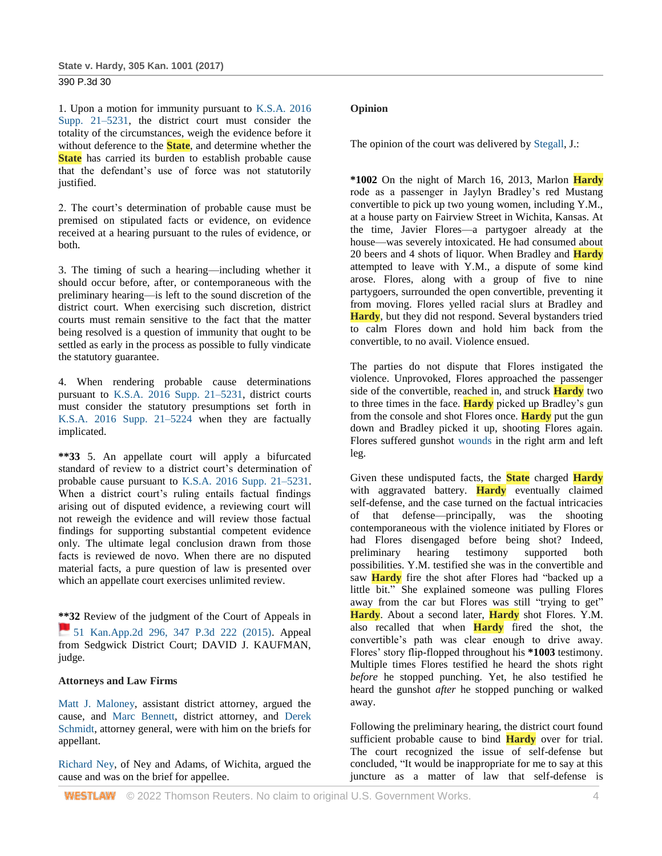1. Upon a motion for immunity pursuant to [K.S.A. 2016](http://www.westlaw.com/Link/Document/FullText?findType=L&pubNum=1001553&cite=KSSTS21-5231&originatingDoc=Iac380380098211e7b984d2f99f0977c6&refType=LQ&originationContext=document&vr=3.0&rs=cblt1.0&transitionType=DocumentItem&contextData=(sc.Search))  [Supp. 21–5231,](http://www.westlaw.com/Link/Document/FullText?findType=L&pubNum=1001553&cite=KSSTS21-5231&originatingDoc=Iac380380098211e7b984d2f99f0977c6&refType=LQ&originationContext=document&vr=3.0&rs=cblt1.0&transitionType=DocumentItem&contextData=(sc.Search)) the district court must consider the totality of the circumstances, weigh the evidence before it without deference to the **State**, and determine whether the **State** has carried its burden to establish probable cause that the defendant's use of force was not statutorily justified.

2. The court's determination of probable cause must be premised on stipulated facts or evidence, on evidence received at a hearing pursuant to the rules of evidence, or both.

3. The timing of such a hearing—including whether it should occur before, after, or contemporaneous with the preliminary hearing—is left to the sound discretion of the district court. When exercising such discretion, district courts must remain sensitive to the fact that the matter being resolved is a question of immunity that ought to be settled as early in the process as possible to fully vindicate the statutory guarantee.

4. When rendering probable cause determinations pursuant to [K.S.A. 2016 Supp. 21–5231,](http://www.westlaw.com/Link/Document/FullText?findType=L&pubNum=1001553&cite=KSSTS21-5231&originatingDoc=Iac380380098211e7b984d2f99f0977c6&refType=LQ&originationContext=document&vr=3.0&rs=cblt1.0&transitionType=DocumentItem&contextData=(sc.Search)) district courts must consider the statutory presumptions set forth in [K.S.A. 2016 Supp. 21–5224](http://www.westlaw.com/Link/Document/FullText?findType=L&pubNum=1001553&cite=KSSTS21-5224&originatingDoc=Iac380380098211e7b984d2f99f0977c6&refType=LQ&originationContext=document&vr=3.0&rs=cblt1.0&transitionType=DocumentItem&contextData=(sc.Search)) when they are factually implicated.

**\*\*33** 5. An appellate court will apply a bifurcated standard of review to a district court's determination of probable cause pursuant to [K.S.A. 2016 Supp. 21–5231.](http://www.westlaw.com/Link/Document/FullText?findType=L&pubNum=1001553&cite=KSSTS21-5231&originatingDoc=Iac380380098211e7b984d2f99f0977c6&refType=LQ&originationContext=document&vr=3.0&rs=cblt1.0&transitionType=DocumentItem&contextData=(sc.Search)) When a district court's ruling entails factual findings arising out of disputed evidence, a reviewing court will not reweigh the evidence and will review those factual findings for supporting substantial competent evidence only. The ultimate legal conclusion drawn from those facts is reviewed de novo. When there are no disputed material facts, a pure question of law is presented over which an appellate court exercises unlimited review.

**\*\*32** Review of the judgment of the Court of Appeals in [51 Kan.App.2d 296, 347 P.3d 222 \(2015\).](https://1.next.westlaw.com/Link/RelatedInformation/Flag?documentGuid=I5df036e0d52411e4b4bafa136b480ad2&transitionType=InlineKeyCiteFlags&originationContext=docHeaderFlag&Rank=1&ppcid=ff0e76f57f5a4df687371872e7b1430e&contextData=(sc.Search)) Appeal from Sedgwick District Court; DAVID J. KAUFMAN, judge.

## **Attorneys and Law Firms**

Matt [J. Maloney,](http://www.westlaw.com/Link/Document/FullText?findType=h&pubNum=176284&cite=0307981901&originatingDoc=Iac380380098211e7b984d2f99f0977c6&refType=RQ&originationContext=document&vr=3.0&rs=cblt1.0&transitionType=DocumentItem&contextData=(sc.Search)) assistant district attorney, argued the cause, and [Marc Bennett,](http://www.westlaw.com/Link/Document/FullText?findType=h&pubNum=176284&cite=0110913601&originatingDoc=Iac380380098211e7b984d2f99f0977c6&refType=RQ&originationContext=document&vr=3.0&rs=cblt1.0&transitionType=DocumentItem&contextData=(sc.Search)) district attorney, and [Derek](http://www.westlaw.com/Link/Document/FullText?findType=h&pubNum=176284&cite=0456354901&originatingDoc=Iac380380098211e7b984d2f99f0977c6&refType=RQ&originationContext=document&vr=3.0&rs=cblt1.0&transitionType=DocumentItem&contextData=(sc.Search))  [Schmidt,](http://www.westlaw.com/Link/Document/FullText?findType=h&pubNum=176284&cite=0456354901&originatingDoc=Iac380380098211e7b984d2f99f0977c6&refType=RQ&originationContext=document&vr=3.0&rs=cblt1.0&transitionType=DocumentItem&contextData=(sc.Search)) attorney general, were with him on the briefs for appellant.

[Richard Ney,](http://www.westlaw.com/Link/Document/FullText?findType=h&pubNum=176284&cite=0282995201&originatingDoc=Iac380380098211e7b984d2f99f0977c6&refType=RQ&originationContext=document&vr=3.0&rs=cblt1.0&transitionType=DocumentItem&contextData=(sc.Search)) of Ney and Adams, of Wichita, argued the cause and was on the brief for appellee.

## **Opinion**

The opinion of the court was delivered by [Stegall,](http://www.westlaw.com/Link/Document/FullText?findType=h&pubNum=176284&cite=0482985901&originatingDoc=Iac380380098211e7b984d2f99f0977c6&refType=RQ&originationContext=document&vr=3.0&rs=cblt1.0&transitionType=DocumentItem&contextData=(sc.Search)) J.:

**\*1002** On the night of March 16, 2013, Marlon **Hardy** rode as a passenger in Jaylyn Bradley's red Mustang convertible to pick up two young women, including Y.M., at a house party on Fairview Street in Wichita, Kansas. At the time, Javier Flores—a partygoer already at the house—was severely intoxicated. He had consumed about 20 beers and 4 shots of liquor. When Bradley and **Hardy** attempted to leave with Y.M., a dispute of some kind arose. Flores, along with a group of five to nine partygoers, surrounded the open convertible, preventing it from moving. Flores yelled racial slurs at Bradley and **Hardy**, but they did not respond. Several bystanders tried to calm Flores down and hold him back from the convertible, to no avail. Violence ensued.

The parties do not dispute that Flores instigated the violence. Unprovoked, Flores approached the passenger side of the convertible, reached in, and struck **Hardy** two to three times in the face. **Hardy** picked up Bradley's gun from the console and shot Flores once. **Hardy** put the gun down and Bradley picked it up, shooting Flores again. Flores suffered gunshot [wounds](http://www.westlaw.com/Link/Document/FullText?entityType=gdrug&entityId=Iff1648e16c7111e18b05fdf15589d8e8&originationContext=document&transitionType=DocumentItem&contextData=(sc.Default)&vr=3.0&rs=cblt1.0) in the right arm and left leg.

Given these undisputed facts, the **State** charged **Hardy** with aggravated battery. **Hardy** eventually claimed self-defense, and the case turned on the factual intricacies of that defense—principally, was the shooting contemporaneous with the violence initiated by Flores or had Flores disengaged before being shot? Indeed, preliminary hearing testimony supported both possibilities. Y.M. testified she was in the convertible and saw **Hardy** fire the shot after Flores had "backed up a little bit." She explained someone was pulling Flores away from the car but Flores was still "trying to get" **Hardy**. About a second later, **Hardy** shot Flores. Y.M. also recalled that when **Hardy** fired the shot, the convertible's path was clear enough to drive away. Flores' story flip-flopped throughout his **\*1003** testimony. Multiple times Flores testified he heard the shots right *before* he stopped punching. Yet, he also testified he heard the gunshot *after* he stopped punching or walked away.

Following the preliminary hearing, the district court found sufficient probable cause to bind **Hardy** over for trial. The court recognized the issue of self-defense but concluded, "It would be inappropriate for me to say at this juncture as a matter of law that self-defense is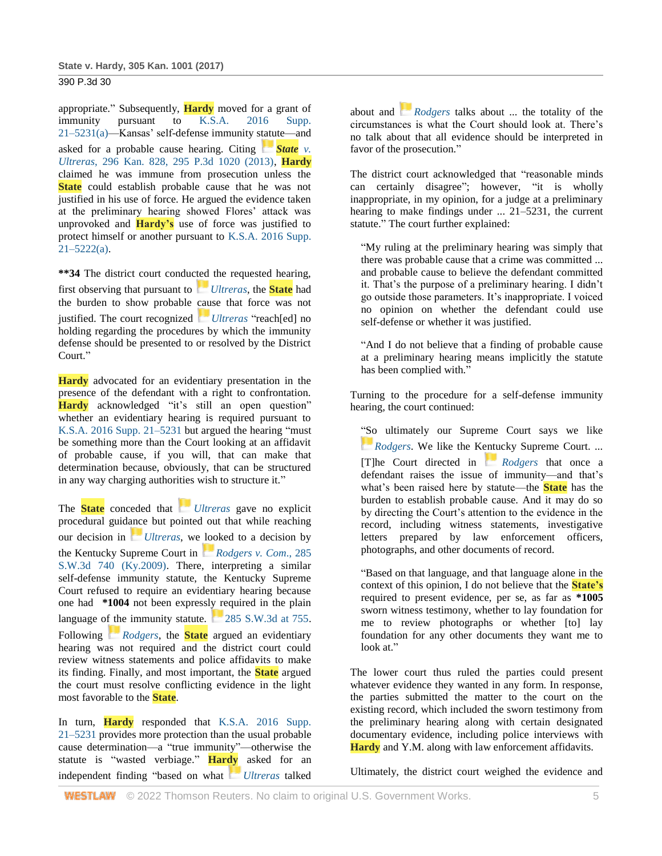appropriate." Subsequently, **Hardy** moved for a grant of immunity pursuant to K.S.A. 2016 Supp. [21–5231\(a\)—](http://www.westlaw.com/Link/Document/FullText?findType=L&pubNum=1001553&cite=KSSTS21-5231&originatingDoc=Iac380380098211e7b984d2f99f0977c6&refType=SP&originationContext=document&vr=3.0&rs=cblt1.0&transitionType=DocumentItem&contextData=(sc.Search)#co_pp_8b3b0000958a4)Kansas' self-defense immunity statute—and asked for a probable cause hearing. Citing **[State](https://1.next.westlaw.com/Link/RelatedInformation/Flag?documentGuid=I57c99f38844411e2bae99fc449e7cd17&transitionType=InlineKeyCiteFlags&originationContext=docHeaderFlag&Rank=1&ppcid=ff0e76f57f5a4df687371872e7b1430e&contextData=(sc.Search))** *v*. *Ultreras*[, 296 Kan. 828, 295 P.3d 1020 \(2013\),](http://www.westlaw.com/Link/Document/FullText?findType=Y&serNum=2029967524&pubNum=0004645&originatingDoc=Iac380380098211e7b984d2f99f0977c6&refType=RP&originationContext=document&vr=3.0&rs=cblt1.0&transitionType=DocumentItem&contextData=(sc.Search)) **Hardy** claimed he was immune from prosecution unless the **State** could establish probable cause that he was not justified in his use of force. He argued the evidence taken at the preliminary hearing showed Flores' attack was unprovoked and **Hardy's** use of force was justified to protect himself or another pursuant to [K.S.A. 2016 Supp.](http://www.westlaw.com/Link/Document/FullText?findType=L&pubNum=1001553&cite=KSSTS21-5222&originatingDoc=Iac380380098211e7b984d2f99f0977c6&refType=SP&originationContext=document&vr=3.0&rs=cblt1.0&transitionType=DocumentItem&contextData=(sc.Search)#co_pp_8b3b0000958a4)   $21 - 5222(a)$ .

**\*\*34** The district court conducted the requested hearing, first observing that pursuant to *[Ultreras](https://1.next.westlaw.com/Link/RelatedInformation/Flag?documentGuid=I57c99f38844411e2bae99fc449e7cd17&transitionType=InlineKeyCiteFlags&originationContext=docHeaderFlag&Rank=1&ppcid=ff0e76f57f5a4df687371872e7b1430e&contextData=(sc.Search))*, the **State** had the burden to show probable cause that force was not justified. The court recognized *[Ultreras](https://1.next.westlaw.com/Link/RelatedInformation/Flag?documentGuid=I57c99f38844411e2bae99fc449e7cd17&transitionType=InlineKeyCiteFlags&originationContext=docHeaderFlag&Rank=1&ppcid=ff0e76f57f5a4df687371872e7b1430e&contextData=(sc.Search))* "reach[ed] no holding regarding the procedures by which the immunity defense should be presented to or resolved by the District Court."

**Hardy** advocated for an evidentiary presentation in the presence of the defendant with a right to confrontation. **Hardy** acknowledged "it's still an open question" whether an evidentiary hearing is required pursuant to [K.S.A. 2016 Supp. 21–5231](http://www.westlaw.com/Link/Document/FullText?findType=L&pubNum=1001553&cite=KSSTS21-5231&originatingDoc=Iac380380098211e7b984d2f99f0977c6&refType=LQ&originationContext=document&vr=3.0&rs=cblt1.0&transitionType=DocumentItem&contextData=(sc.Search)) but argued the hearing "must be something more than the Court looking at an affidavit of probable cause, if you will, that can make that determination because, obviously, that can be structured in any way charging authorities wish to structure it."

The **State** conceded that *[Ultreras](https://1.next.westlaw.com/Link/RelatedInformation/Flag?documentGuid=I57c99f38844411e2bae99fc449e7cd17&transitionType=InlineKeyCiteFlags&originationContext=docHeaderFlag&Rank=1&ppcid=ff0e76f57f5a4df687371872e7b1430e&contextData=(sc.Search))* gave no explicit procedural guidance but pointed out that while reaching our decision in *[Ultreras](https://1.next.westlaw.com/Link/RelatedInformation/Flag?documentGuid=I57c99f38844411e2bae99fc449e7cd17&transitionType=InlineKeyCiteFlags&originationContext=docHeaderFlag&Rank=1&ppcid=ff0e76f57f5a4df687371872e7b1430e&contextData=(sc.Search))*, we looked to a decision by the Kentucky Supreme Court in *[Rodgers v. Com](https://1.next.westlaw.com/Link/RelatedInformation/Flag?documentGuid=I23dcaada631911deabded03f2b83b8a4&transitionType=InlineKeyCiteFlags&originationContext=docHeaderFlag&Rank=1&ppcid=ff0e76f57f5a4df687371872e7b1430e&contextData=(sc.Search))*., 285 [S.W.3d 740 \(Ky.2009\).](http://www.westlaw.com/Link/Document/FullText?findType=Y&serNum=2019223332&pubNum=0004644&originatingDoc=Iac380380098211e7b984d2f99f0977c6&refType=RP&originationContext=document&vr=3.0&rs=cblt1.0&transitionType=DocumentItem&contextData=(sc.Search)) There, interpreting a similar self-defense immunity statute, the Kentucky Supreme Court refused to require an evidentiary hearing because one had **\*1004** not been expressly required in the plain language of the immunity statute. [285 S.W.3d at 755.](https://1.next.westlaw.com/Link/RelatedInformation/Flag?documentGuid=I23dcaada631911deabded03f2b83b8a4&transitionType=InlineKeyCiteFlags&originationContext=docHeaderFlag&Rank=1&ppcid=ff0e76f57f5a4df687371872e7b1430e&contextData=(sc.Search)) Following *[Rodgers](https://1.next.westlaw.com/Link/RelatedInformation/Flag?documentGuid=I23dcaada631911deabded03f2b83b8a4&transitionType=InlineKeyCiteFlags&originationContext=docHeaderFlag&Rank=1&ppcid=ff0e76f57f5a4df687371872e7b1430e&contextData=(sc.Search))*, the **State** argued an evidentiary hearing was not required and the district court could review witness statements and police affidavits to make its finding. Finally, and most important, the **State** argued the court must resolve conflicting evidence in the light most favorable to the **State**.

In turn, **Hardy** responded that [K.S.A. 2016 Supp.](http://www.westlaw.com/Link/Document/FullText?findType=L&pubNum=1001553&cite=KSSTS21-5231&originatingDoc=Iac380380098211e7b984d2f99f0977c6&refType=LQ&originationContext=document&vr=3.0&rs=cblt1.0&transitionType=DocumentItem&contextData=(sc.Search))  [21–5231](http://www.westlaw.com/Link/Document/FullText?findType=L&pubNum=1001553&cite=KSSTS21-5231&originatingDoc=Iac380380098211e7b984d2f99f0977c6&refType=LQ&originationContext=document&vr=3.0&rs=cblt1.0&transitionType=DocumentItem&contextData=(sc.Search)) provides more protection than the usual probable cause determination—a "true immunity"—otherwise the statute is "wasted verbiage." **Hardy** asked for an independent finding "based on what *[Ultreras](https://1.next.westlaw.com/Link/RelatedInformation/Flag?documentGuid=I57c99f38844411e2bae99fc449e7cd17&transitionType=InlineKeyCiteFlags&originationContext=docHeaderFlag&Rank=1&ppcid=ff0e76f57f5a4df687371872e7b1430e&contextData=(sc.Search))* talked

about and *[Rodgers](https://1.next.westlaw.com/Link/RelatedInformation/Flag?documentGuid=I23dcaada631911deabded03f2b83b8a4&transitionType=InlineKeyCiteFlags&originationContext=docHeaderFlag&Rank=1&ppcid=ff0e76f57f5a4df687371872e7b1430e&contextData=(sc.Search))* talks about ... the totality of the circumstances is what the Court should look at. There's no talk about that all evidence should be interpreted in favor of the prosecution."

The district court acknowledged that "reasonable minds can certainly disagree"; however, "it is wholly inappropriate, in my opinion, for a judge at a preliminary hearing to make findings under ... 21–5231, the current statute." The court further explained:

"My ruling at the preliminary hearing was simply that there was probable cause that a crime was committed ... and probable cause to believe the defendant committed it. That's the purpose of a preliminary hearing. I didn't go outside those parameters. It's inappropriate. I voiced no opinion on whether the defendant could use self-defense or whether it was justified.

"And I do not believe that a finding of probable cause at a preliminary hearing means implicitly the statute has been complied with."

Turning to the procedure for a self-defense immunity hearing, the court continued:

"So ultimately our Supreme Court says we like *[Rodgers](https://1.next.westlaw.com/Link/RelatedInformation/Flag?documentGuid=I23dcaada631911deabded03f2b83b8a4&transitionType=InlineKeyCiteFlags&originationContext=docHeaderFlag&Rank=1&ppcid=ff0e76f57f5a4df687371872e7b1430e&contextData=(sc.Search))*. We like the Kentucky Supreme Court. ... [T]he Court directed in *[Rodgers](https://1.next.westlaw.com/Link/RelatedInformation/Flag?documentGuid=I23dcaada631911deabded03f2b83b8a4&transitionType=InlineKeyCiteFlags&originationContext=docHeaderFlag&Rank=1&ppcid=ff0e76f57f5a4df687371872e7b1430e&contextData=(sc.Search))* that once a defendant raises the issue of immunity—and that's what's been raised here by statute—the **State** has the burden to establish probable cause. And it may do so by directing the Court's attention to the evidence in the record, including witness statements, investigative letters prepared by law enforcement officers, photographs, and other documents of record.

"Based on that language, and that language alone in the context of this opinion, I do not believe that the **State's** required to present evidence, per se, as far as **\*1005** sworn witness testimony, whether to lay foundation for me to review photographs or whether [to] lay foundation for any other documents they want me to look at."

The lower court thus ruled the parties could present whatever evidence they wanted in any form. In response, the parties submitted the matter to the court on the existing record, which included the sworn testimony from the preliminary hearing along with certain designated documentary evidence, including police interviews with **Hardy** and Y.M. along with law enforcement affidavits.

Ultimately, the district court weighed the evidence and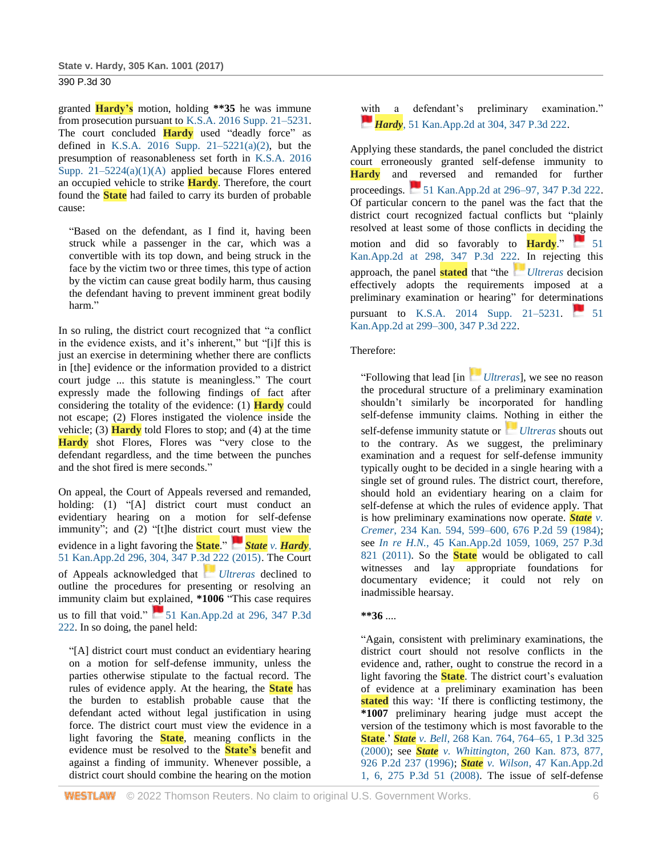granted **Hardy's** motion, holding **\*\*35** he was immune from prosecution pursuant to [K.S.A. 2016 Supp. 21–5231.](http://www.westlaw.com/Link/Document/FullText?findType=L&pubNum=1001553&cite=KSSTS21-5231&originatingDoc=Iac380380098211e7b984d2f99f0977c6&refType=LQ&originationContext=document&vr=3.0&rs=cblt1.0&transitionType=DocumentItem&contextData=(sc.Search)) The court concluded **Hardy** used "deadly force" as defined in K.S.A. 2016 Supp.  $21-5221(a)(2)$ , but the presumption of reasonableness set forth in [K.S.A. 2016](http://www.westlaw.com/Link/Document/FullText?findType=L&pubNum=1001553&cite=KSSTS21-5224&originatingDoc=Iac380380098211e7b984d2f99f0977c6&refType=SP&originationContext=document&vr=3.0&rs=cblt1.0&transitionType=DocumentItem&contextData=(sc.Search)#co_pp_a5e1000094854)  Supp.  $21-5224(a)(1)(A)$  applied because Flores entered an occupied vehicle to strike **Hardy**. Therefore, the court found the **State** had failed to carry its burden of probable cause:

"Based on the defendant, as I find it, having been struck while a passenger in the car, which was a convertible with its top down, and being struck in the face by the victim two or three times, this type of action by the victim can cause great bodily harm, thus causing the defendant having to prevent imminent great bodily harm."

In so ruling, the district court recognized that "a conflict in the evidence exists, and it's inherent," but "[i]f this is just an exercise in determining whether there are conflicts in [the] evidence or the information provided to a district court judge ... this statute is meaningless." The court expressly made the following findings of fact after considering the totality of the evidence: (1) **Hardy** could not escape; (2) Flores instigated the violence inside the vehicle; (3) **Hardy** told Flores to stop; and (4) at the time **Hardy** shot Flores, Flores was "very close to the defendant regardless, and the time between the punches and the shot fired is mere seconds."

On appeal, the Court of Appeals reversed and remanded, holding: (1) "[A] district court must conduct an evidentiary hearing on a motion for self-defense immunity"; and (2) "[t]he district court must view the evidence in a light favoring the **State**." *[S](https://1.next.westlaw.com/Link/RelatedInformation/Flag?documentGuid=I5df036e0d52411e4b4bafa136b480ad2&transitionType=InlineKeyCiteFlags&originationContext=docHeaderFlag&Rank=1&ppcid=ff0e76f57f5a4df687371872e7b1430e&contextData=(sc.Search))tate v. [Hardy](https://1.next.westlaw.com/Link/RelatedInformation/Flag?documentGuid=I5df036e0d52411e4b4bafa136b480ad2&transitionType=InlineKeyCiteFlags&originationContext=docHeaderFlag&Rank=1&ppcid=ff0e76f57f5a4df687371872e7b1430e&contextData=(sc.Search))*, [51 Kan.App.2d 296, 304, 347 P.3d 222 \(2015\).](http://www.westlaw.com/Link/Document/FullText?findType=Y&serNum=2035710271&pubNum=0000460&originatingDoc=Iac380380098211e7b984d2f99f0977c6&refType=RP&fi=co_pp_sp_460_304&originationContext=document&vr=3.0&rs=cblt1.0&transitionType=DocumentItem&contextData=(sc.Search)#co_pp_sp_460_304) The Court of Appeals acknowledged that *[Ultreras](https://1.next.westlaw.com/Link/RelatedInformation/Flag?documentGuid=I57c99f38844411e2bae99fc449e7cd17&transitionType=InlineKeyCiteFlags&originationContext=docHeaderFlag&Rank=1&ppcid=ff0e76f57f5a4df687371872e7b1430e&contextData=(sc.Search))* declined to outline the procedures for presenting or resolving an immunity claim but explained, **\*1006** "This case requires us to fill that void."  $\blacksquare$  51 Kan.App.2d at 296, 347 P.3d [222.](http://www.westlaw.com/Link/Document/FullText?findType=Y&serNum=2035710271&pubNum=0000460&originatingDoc=Iac380380098211e7b984d2f99f0977c6&refType=RP&fi=co_pp_sp_460_296&originationContext=document&vr=3.0&rs=cblt1.0&transitionType=DocumentItem&contextData=(sc.Search)#co_pp_sp_460_296) In so doing, the panel held:

"[A] district court must conduct an evidentiary hearing on a motion for self-defense immunity, unless the parties otherwise stipulate to the factual record. The rules of evidence apply. At the hearing, the **State** has the burden to establish probable cause that the defendant acted without legal justification in using force. The district court must view the evidence in a light favoring the **State**, meaning conflicts in the evidence must be resolved to the **State's** benefit and against a finding of immunity. Whenever possible, a district court should combine the hearing on the motion

with a defendant's preliminary examination." *[H](https://1.next.westlaw.com/Link/RelatedInformation/Flag?documentGuid=I5df036e0d52411e4b4bafa136b480ad2&transitionType=InlineKeyCiteFlags&originationContext=docHeaderFlag&Rank=1&ppcid=ff0e76f57f5a4df687371872e7b1430e&contextData=(sc.Search))ardy*[, 51 Kan.App.2d at 304, 347 P.3d 222.](https://1.next.westlaw.com/Link/RelatedInformation/Flag?documentGuid=I5df036e0d52411e4b4bafa136b480ad2&transitionType=InlineKeyCiteFlags&originationContext=docHeaderFlag&Rank=1&ppcid=ff0e76f57f5a4df687371872e7b1430e&contextData=(sc.Search))

Applying these standards, the panel concluded the district court erroneously granted self-defense immunity to **Hardy** and reversed and remanded for further proceedings. [51 Kan.App.2d at 296–97, 347 P.3d 222.](https://1.next.westlaw.com/Link/RelatedInformation/Flag?documentGuid=I5df036e0d52411e4b4bafa136b480ad2&transitionType=InlineKeyCiteFlags&originationContext=docHeaderFlag&Rank=1&ppcid=ff0e76f57f5a4df687371872e7b1430e&contextData=(sc.Search)) Of particular concern to the panel was the fact that the district court recognized factual conflicts but "plainly resolved at least some of those conflicts in deciding the motion and did so favorably to  $\frac{\text{Hardy}}{\text{Hardy}}$ . [Kan.App.2d at 298, 347 P.3d 222.](http://www.westlaw.com/Link/Document/FullText?findType=Y&serNum=2035710271&pubNum=0000460&originatingDoc=Iac380380098211e7b984d2f99f0977c6&refType=RP&fi=co_pp_sp_460_298&originationContext=document&vr=3.0&rs=cblt1.0&transitionType=DocumentItem&contextData=(sc.Search)#co_pp_sp_460_298) In rejecting this approach, the panel **stated** that "the *[Ultreras](https://1.next.westlaw.com/Link/RelatedInformation/Flag?documentGuid=I57c99f38844411e2bae99fc449e7cd17&transitionType=InlineKeyCiteFlags&originationContext=docHeaderFlag&Rank=1&ppcid=ff0e76f57f5a4df687371872e7b1430e&contextData=(sc.Search))* decision effectively adopts the requirements imposed at a preliminary examination or hearing" for determinations pursuant to [K.S.A. 2014 Supp. 21–5231.](http://www.westlaw.com/Link/Document/FullText?findType=L&pubNum=1001553&cite=KSSTS21-5231&originatingDoc=Iac380380098211e7b984d2f99f0977c6&refType=LQ&originationContext=document&vr=3.0&rs=cblt1.0&transitionType=DocumentItem&contextData=(sc.Search)) 51 [Kan.App.2d at 299–300, 347 P.3d 222.](http://www.westlaw.com/Link/Document/FullText?findType=Y&serNum=2035710271&pubNum=0000460&originatingDoc=Iac380380098211e7b984d2f99f0977c6&refType=RP&fi=co_pp_sp_460_299&originationContext=document&vr=3.0&rs=cblt1.0&transitionType=DocumentItem&contextData=(sc.Search)#co_pp_sp_460_299)

## Therefore:

"Following that lead [in *[Ultreras](https://1.next.westlaw.com/Link/RelatedInformation/Flag?documentGuid=I57c99f38844411e2bae99fc449e7cd17&transitionType=InlineKeyCiteFlags&originationContext=docHeaderFlag&Rank=1&ppcid=ff0e76f57f5a4df687371872e7b1430e&contextData=(sc.Search))*], we see no reason the procedural structure of a preliminary examination shouldn't similarly be incorporated for handling self-defense immunity claims. Nothing in either the self-defense immunity statute or *[Ultreras](https://1.next.westlaw.com/Link/RelatedInformation/Flag?documentGuid=I57c99f38844411e2bae99fc449e7cd17&transitionType=InlineKeyCiteFlags&originationContext=docHeaderFlag&Rank=1&ppcid=ff0e76f57f5a4df687371872e7b1430e&contextData=(sc.Search))* shouts out to the contrary. As we suggest, the preliminary examination and a request for self-defense immunity typically ought to be decided in a single hearing with a single set of ground rules. The district court, therefore, should hold an evidentiary hearing on a claim for self-defense at which the rules of evidence apply. That is how preliminary examinations now operate. *[State](http://www.westlaw.com/Link/Document/FullText?findType=Y&serNum=1984103879&pubNum=0000458&originatingDoc=Iac380380098211e7b984d2f99f0977c6&refType=RP&fi=co_pp_sp_458_599&originationContext=document&vr=3.0&rs=cblt1.0&transitionType=DocumentItem&contextData=(sc.Search)#co_pp_sp_458_599) v. Cremer*[, 234 Kan. 594, 599–600, 676](http://www.westlaw.com/Link/Document/FullText?findType=Y&serNum=1984103879&pubNum=0000458&originatingDoc=Iac380380098211e7b984d2f99f0977c6&refType=RP&fi=co_pp_sp_458_599&originationContext=document&vr=3.0&rs=cblt1.0&transitionType=DocumentItem&contextData=(sc.Search)#co_pp_sp_458_599) P.2d 59 (1984); see *In re H.N.*[, 45 Kan.App.2d 1059, 1069, 257 P.3d](http://www.westlaw.com/Link/Document/FullText?findType=Y&serNum=2025477378&pubNum=0000460&originatingDoc=Iac380380098211e7b984d2f99f0977c6&refType=RP&fi=co_pp_sp_460_1069&originationContext=document&vr=3.0&rs=cblt1.0&transitionType=DocumentItem&contextData=(sc.Search)#co_pp_sp_460_1069)  [821 \(2011\).](http://www.westlaw.com/Link/Document/FullText?findType=Y&serNum=2025477378&pubNum=0000460&originatingDoc=Iac380380098211e7b984d2f99f0977c6&refType=RP&fi=co_pp_sp_460_1069&originationContext=document&vr=3.0&rs=cblt1.0&transitionType=DocumentItem&contextData=(sc.Search)#co_pp_sp_460_1069) So the **State** would be obligated to call witnesses and lay appropriate foundations for documentary evidence; it could not rely on inadmissible hearsay.

### **\*\*36** ....

"Again, consistent with preliminary examinations, the district court should not resolve conflicts in the evidence and, rather, ought to construe the record in a light favoring the **State**. The district court's evaluation of evidence at a preliminary examination has been stated this way: 'If there is conflicting testimony, the **\*1007** preliminary hearing judge must accept the version of the testimony which is most favorable to the **State**.' *State v. Bell*[, 268 Kan. 764, 764–65, 1 P.3d 325](http://www.westlaw.com/Link/Document/FullText?findType=Y&serNum=2000071084&pubNum=0004645&originatingDoc=Iac380380098211e7b984d2f99f0977c6&refType=RP&originationContext=document&vr=3.0&rs=cblt1.0&transitionType=DocumentItem&contextData=(sc.Search))  [\(2000\);](http://www.westlaw.com/Link/Document/FullText?findType=Y&serNum=2000071084&pubNum=0004645&originatingDoc=Iac380380098211e7b984d2f99f0977c6&refType=RP&originationContext=document&vr=3.0&rs=cblt1.0&transitionType=DocumentItem&contextData=(sc.Search)) see *State v. Whittington*[, 260 Kan. 873, 877,](http://www.westlaw.com/Link/Document/FullText?findType=Y&serNum=1996240174&pubNum=0000458&originatingDoc=Iac380380098211e7b984d2f99f0977c6&refType=RP&fi=co_pp_sp_458_877&originationContext=document&vr=3.0&rs=cblt1.0&transitionType=DocumentItem&contextData=(sc.Search)#co_pp_sp_458_877)  [926 P.2d 237 \(1996\);](http://www.westlaw.com/Link/Document/FullText?findType=Y&serNum=1996240174&pubNum=0000458&originatingDoc=Iac380380098211e7b984d2f99f0977c6&refType=RP&fi=co_pp_sp_458_877&originationContext=document&vr=3.0&rs=cblt1.0&transitionType=DocumentItem&contextData=(sc.Search)#co_pp_sp_458_877) *State v. Wilson*[, 47 Kan.App.2d](http://www.westlaw.com/Link/Document/FullText?findType=Y&serNum=2027568566&pubNum=0000460&originatingDoc=Iac380380098211e7b984d2f99f0977c6&refType=RP&fi=co_pp_sp_460_6&originationContext=document&vr=3.0&rs=cblt1.0&transitionType=DocumentItem&contextData=(sc.Search)#co_pp_sp_460_6)  [1, 6, 275 P.3d 51 \(2008\).](http://www.westlaw.com/Link/Document/FullText?findType=Y&serNum=2027568566&pubNum=0000460&originatingDoc=Iac380380098211e7b984d2f99f0977c6&refType=RP&fi=co_pp_sp_460_6&originationContext=document&vr=3.0&rs=cblt1.0&transitionType=DocumentItem&contextData=(sc.Search)#co_pp_sp_460_6) The issue of self-defense

**WESTLAW** © 2022 Thomson Reuters. No claim to original U.S. Government Works. 6 6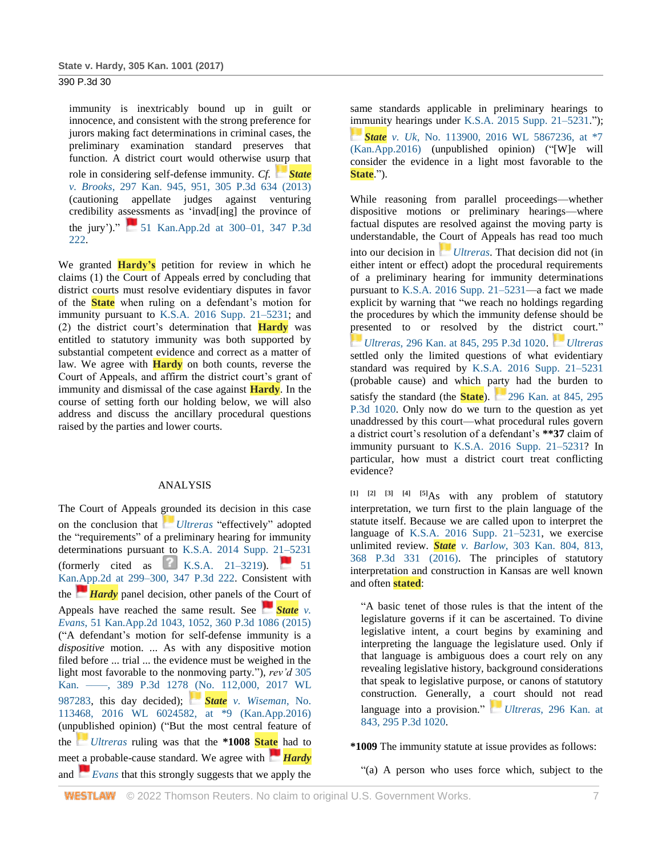immunity is inextricably bound up in guilt or innocence, and consistent with the strong preference for jurors making fact determinations in criminal cases, the preliminary examination standard preserves that function. A district court would otherwise usurp that role in considering self-defense immunity. *Cf. [State](https://1.next.westlaw.com/Link/RelatedInformation/Flag?documentGuid=I9e7f7c4bf61411e2981fa20c4f198a69&transitionType=InlineKeyCiteFlags&originationContext=docHeaderFlag&Rank=1&ppcid=ff0e76f57f5a4df687371872e7b1430e&contextData=(sc.Search)) v. Brooks*[, 297 Kan. 945, 951, 305 P.3d 634 \(2013\)](http://www.westlaw.com/Link/Document/FullText?findType=Y&serNum=2031167151&pubNum=0000458&originatingDoc=Iac380380098211e7b984d2f99f0977c6&refType=RP&fi=co_pp_sp_458_951&originationContext=document&vr=3.0&rs=cblt1.0&transitionType=DocumentItem&contextData=(sc.Search)#co_pp_sp_458_951) (cautioning appellate judges against venturing credibility assessments as 'invad[ing] the province of the jury')."  $\blacksquare$  51 Kan.App.2d at 300–01, 347 P.3d [222.](http://www.westlaw.com/Link/Document/FullText?findType=Y&serNum=2035710271&pubNum=0000460&originatingDoc=Iac380380098211e7b984d2f99f0977c6&refType=RP&fi=co_pp_sp_460_300&originationContext=document&vr=3.0&rs=cblt1.0&transitionType=DocumentItem&contextData=(sc.Search)#co_pp_sp_460_300)

We granted **Hardy's** petition for review in which he claims (1) the Court of Appeals erred by concluding that district courts must resolve evidentiary disputes in favor of the **State** when ruling on a defendant's motion for immunity pursuant to [K.S.A. 2016 Supp. 21–5231;](http://www.westlaw.com/Link/Document/FullText?findType=L&pubNum=1001553&cite=KSSTS21-5231&originatingDoc=Iac380380098211e7b984d2f99f0977c6&refType=LQ&originationContext=document&vr=3.0&rs=cblt1.0&transitionType=DocumentItem&contextData=(sc.Search)) and (2) the district court's determination that **Hardy** was entitled to statutory immunity was both supported by substantial competent evidence and correct as a matter of law. We agree with **Hardy** on both counts, reverse the Court of Appeals, and affirm the district court's grant of immunity and dismissal of the case against **Hardy**. In the course of setting forth our holding below, we will also address and discuss the ancillary procedural questions raised by the parties and lower courts.

### ANALYSIS

The Court of Appeals grounded its decision in this case on the conclusion that *[Ultreras](https://1.next.westlaw.com/Link/RelatedInformation/Flag?documentGuid=I57c99f38844411e2bae99fc449e7cd17&transitionType=InlineKeyCiteFlags&originationContext=docHeaderFlag&Rank=1&ppcid=ff0e76f57f5a4df687371872e7b1430e&contextData=(sc.Search))* "effectively" adopted the "requirements" of a preliminary hearing for immunity determinations pursuant to [K.S.A. 2014 Supp. 21–5231](http://www.westlaw.com/Link/Document/FullText?findType=L&pubNum=1001553&cite=KSSTS21-5231&originatingDoc=Iac380380098211e7b984d2f99f0977c6&refType=LQ&originationContext=document&vr=3.0&rs=cblt1.0&transitionType=DocumentItem&contextData=(sc.Search)) (formerly cited as [K.S.A. 21–3219\)](http://www.westlaw.com/Link/Document/FullText?findType=L&pubNum=1001553&cite=KSSTS21-3219&originatingDoc=Iac380380098211e7b984d2f99f0977c6&refType=LQ&originationContext=document&vr=3.0&rs=cblt1.0&transitionType=DocumentItem&contextData=(sc.Search)). [51](https://1.next.westlaw.com/Link/RelatedInformation/Flag?documentGuid=I5df036e0d52411e4b4bafa136b480ad2&transitionType=InlineKeyCiteFlags&originationContext=docHeaderFlag&Rank=1&ppcid=ff0e76f57f5a4df687371872e7b1430e&contextData=(sc.Search))  [Kan.App.2d at 299–300, 347 P.3d 222.](http://www.westlaw.com/Link/Document/FullText?findType=Y&serNum=2035710271&pubNum=0000460&originatingDoc=Iac380380098211e7b984d2f99f0977c6&refType=RP&fi=co_pp_sp_460_299&originationContext=document&vr=3.0&rs=cblt1.0&transitionType=DocumentItem&contextData=(sc.Search)#co_pp_sp_460_299) Consistent with the *[Hardy](https://1.next.westlaw.com/Link/RelatedInformation/Flag?documentGuid=I5df036e0d52411e4b4bafa136b480ad2&transitionType=InlineKeyCiteFlags&originationContext=docHeaderFlag&Rank=1&ppcid=ff0e76f57f5a4df687371872e7b1430e&contextData=(sc.Search))* panel decision, other panels of the Court of Appeals have reached the same result. See **[State](https://1.next.westlaw.com/Link/RelatedInformation/Flag?documentGuid=I281fbf097aa111e5a807ad48145ed9f1&transitionType=InlineKeyCiteFlags&originationContext=docHeaderFlag&Rank=1&ppcid=ff0e76f57f5a4df687371872e7b1430e&contextData=(sc.Search))** *v*. *Evans*[, 51 Kan.App.2d 1043, 1052, 360 P.3d 1086 \(2015\)](http://www.westlaw.com/Link/Document/FullText?findType=Y&serNum=2037450044&pubNum=0000460&originatingDoc=Iac380380098211e7b984d2f99f0977c6&refType=RP&fi=co_pp_sp_460_1052&originationContext=document&vr=3.0&rs=cblt1.0&transitionType=DocumentItem&contextData=(sc.Search)#co_pp_sp_460_1052) ("A defendant's motion for self-defense immunity is a *dispositive* motion. ... As with any dispositive motion filed before ... trial ... the evidence must be weighed in the light most favorable to the nonmoving party."), *rev'd* [305](http://www.westlaw.com/Link/Document/FullText?findType=Y&serNum=2041235386&pubNum=0000999&originatingDoc=Iac380380098211e7b984d2f99f0977c6&refType=RP&originationContext=document&vr=3.0&rs=cblt1.0&transitionType=DocumentItem&contextData=(sc.Search))  [Kan. ––––, 389 P.3d 1278 \(No. 112,000, 2017 WL](http://www.westlaw.com/Link/Document/FullText?findType=Y&serNum=2041235386&pubNum=0000999&originatingDoc=Iac380380098211e7b984d2f99f0977c6&refType=RP&originationContext=document&vr=3.0&rs=cblt1.0&transitionType=DocumentItem&contextData=(sc.Search))  [987283,](http://www.westlaw.com/Link/Document/FullText?findType=Y&serNum=2041235386&pubNum=0000999&originatingDoc=Iac380380098211e7b984d2f99f0977c6&refType=RP&originationContext=document&vr=3.0&rs=cblt1.0&transitionType=DocumentItem&contextData=(sc.Search)) this day decided); *[S](https://1.next.westlaw.com/Link/RelatedInformation/Flag?documentGuid=If69976d0928f11e6a46fa4c1b9f16bf3&transitionType=InlineKeyCiteFlags&originationContext=docHeaderFlag&Rank=1&ppcid=ff0e76f57f5a4df687371872e7b1430e&contextData=(sc.Search))tate [v. Wiseman](https://1.next.westlaw.com/Link/RelatedInformation/Flag?documentGuid=If69976d0928f11e6a46fa4c1b9f16bf3&transitionType=InlineKeyCiteFlags&originationContext=docHeaderFlag&Rank=1&ppcid=ff0e76f57f5a4df687371872e7b1430e&contextData=(sc.Search))*, No. [113468, 2016 WL 6024582, at \\*9 \(Kan.App.2016\)](http://www.westlaw.com/Link/Document/FullText?findType=Y&serNum=2040073937&pubNum=0000999&originatingDoc=Iac380380098211e7b984d2f99f0977c6&refType=RP&originationContext=document&vr=3.0&rs=cblt1.0&transitionType=DocumentItem&contextData=(sc.Search)) (unpublished opinion) ("But the most central feature of the *[Ultreras](https://1.next.westlaw.com/Link/RelatedInformation/Flag?documentGuid=I57c99f38844411e2bae99fc449e7cd17&transitionType=InlineKeyCiteFlags&originationContext=docHeaderFlag&Rank=1&ppcid=ff0e76f57f5a4df687371872e7b1430e&contextData=(sc.Search))* ruling was that the **\*1008 State** had to meet a probable-cause standard. We agree with *[Hardy](https://1.next.westlaw.com/Link/RelatedInformation/Flag?documentGuid=I5df036e0d52411e4b4bafa136b480ad2&transitionType=InlineKeyCiteFlags&originationContext=docHeaderFlag&Rank=1&ppcid=ff0e76f57f5a4df687371872e7b1430e&contextData=(sc.Search))* and *[Evans](https://1.next.westlaw.com/Link/RelatedInformation/Flag?documentGuid=I281fbf097aa111e5a807ad48145ed9f1&transitionType=InlineKeyCiteFlags&originationContext=docHeaderFlag&Rank=1&ppcid=ff0e76f57f5a4df687371872e7b1430e&contextData=(sc.Search))* that this strongly suggests that we apply the

same standards applicable in preliminary hearings to immunity hearings under [K.S.A. 2015 Supp. 21–5231.](http://www.westlaw.com/Link/Document/FullText?findType=L&pubNum=1001553&cite=KSSTS21-5231&originatingDoc=Iac380380098211e7b984d2f99f0977c6&refType=LQ&originationContext=document&vr=3.0&rs=cblt1.0&transitionType=DocumentItem&contextData=(sc.Search))"); *[S](https://1.next.westlaw.com/Link/RelatedInformation/Flag?documentGuid=I0fe3d4b08cfe11e68bf9cabfb8a03530&transitionType=InlineKeyCiteFlags&originationContext=docHeaderFlag&Rank=1&ppcid=ff0e76f57f5a4df687371872e7b1430e&contextData=(sc.Search))tate v. Uk*[, No. 113900, 2016 WL 5867236, at \\*7](https://1.next.westlaw.com/Link/RelatedInformation/Flag?documentGuid=I0fe3d4b08cfe11e68bf9cabfb8a03530&transitionType=InlineKeyCiteFlags&originationContext=docHeaderFlag&Rank=1&ppcid=ff0e76f57f5a4df687371872e7b1430e&contextData=(sc.Search))  [\(Kan.App.2016\)](http://www.westlaw.com/Link/Document/FullText?findType=Y&serNum=2039947384&pubNum=0000999&originatingDoc=Iac380380098211e7b984d2f99f0977c6&refType=RP&originationContext=document&vr=3.0&rs=cblt1.0&transitionType=DocumentItem&contextData=(sc.Search)) (unpublished opinion) ("[W]e will consider the evidence in a light most favorable to the **State**.").

While reasoning from parallel proceedings—whether dispositive motions or preliminary hearings—where factual disputes are resolved against the moving party is understandable, the Court of Appeals has read too much into our decision in *[Ultreras](https://1.next.westlaw.com/Link/RelatedInformation/Flag?documentGuid=I57c99f38844411e2bae99fc449e7cd17&transitionType=InlineKeyCiteFlags&originationContext=docHeaderFlag&Rank=1&ppcid=ff0e76f57f5a4df687371872e7b1430e&contextData=(sc.Search))*. That decision did not (in either intent or effect) adopt the procedural requirements of a preliminary hearing for immunity determinations pursuant to [K.S.A. 2016 Supp. 21–5231—](http://www.westlaw.com/Link/Document/FullText?findType=L&pubNum=1001553&cite=KSSTS21-5231&originatingDoc=Iac380380098211e7b984d2f99f0977c6&refType=LQ&originationContext=document&vr=3.0&rs=cblt1.0&transitionType=DocumentItem&contextData=(sc.Search))a fact we made explicit by warning that "we reach no holdings regarding the procedures by which the immunity defense should be presented to or resolved by the district court." *[U](https://1.next.westlaw.com/Link/RelatedInformation/Flag?documentGuid=I57c99f38844411e2bae99fc449e7cd17&transitionType=InlineKeyCiteFlags&originationContext=docHeaderFlag&Rank=1&ppcid=ff0e76f57f5a4df687371872e7b1430e&contextData=(sc.Search))ltreras*[, 296 Kan. at 845, 295 P.3d 1020.](https://1.next.westlaw.com/Link/RelatedInformation/Flag?documentGuid=I57c99f38844411e2bae99fc449e7cd17&transitionType=InlineKeyCiteFlags&originationContext=docHeaderFlag&Rank=1&ppcid=ff0e76f57f5a4df687371872e7b1430e&contextData=(sc.Search)) *[Ultreras](https://1.next.westlaw.com/Link/RelatedInformation/Flag?documentGuid=I57c99f38844411e2bae99fc449e7cd17&transitionType=InlineKeyCiteFlags&originationContext=docHeaderFlag&Rank=1&ppcid=ff0e76f57f5a4df687371872e7b1430e&contextData=(sc.Search))* settled only the limited questions of what evidentiary standard was required by [K.S.A. 2016 Supp. 21–5231](http://www.westlaw.com/Link/Document/FullText?findType=L&pubNum=1001553&cite=KSSTS21-5231&originatingDoc=Iac380380098211e7b984d2f99f0977c6&refType=LQ&originationContext=document&vr=3.0&rs=cblt1.0&transitionType=DocumentItem&contextData=(sc.Search)) (probable cause) and which party had the burden to satisfy the standard (the **State**). [296 Kan. at 845, 295](https://1.next.westlaw.com/Link/RelatedInformation/Flag?documentGuid=I57c99f38844411e2bae99fc449e7cd17&transitionType=InlineKeyCiteFlags&originationContext=docHeaderFlag&Rank=1&ppcid=ff0e76f57f5a4df687371872e7b1430e&contextData=(sc.Search))  [P.3d 1020.](http://www.westlaw.com/Link/Document/FullText?findType=Y&serNum=2029967524&pubNum=0000458&originatingDoc=Iac380380098211e7b984d2f99f0977c6&refType=RP&fi=co_pp_sp_458_845&originationContext=document&vr=3.0&rs=cblt1.0&transitionType=DocumentItem&contextData=(sc.Search)#co_pp_sp_458_845) Only now do we turn to the question as yet unaddressed by this court—what procedural rules govern a district court's resolution of a defendant's **\*\*37** claim of immunity pursuant to [K.S.A. 2016 Supp. 21–5231?](http://www.westlaw.com/Link/Document/FullText?findType=L&pubNum=1001553&cite=KSSTS21-5231&originatingDoc=Iac380380098211e7b984d2f99f0977c6&refType=LQ&originationContext=document&vr=3.0&rs=cblt1.0&transitionType=DocumentItem&contextData=(sc.Search)) In particular, how must a district court treat conflicting evidence?

**[1] [2] [3] [4] [5]**As with any problem of statutory interpretation, we turn first to the plain language of the statute itself. Because we are called upon to interpret the language of [K.S.A. 2016 Supp. 21–5231,](http://www.westlaw.com/Link/Document/FullText?findType=L&pubNum=1001553&cite=KSSTS21-5231&originatingDoc=Iac380380098211e7b984d2f99f0977c6&refType=LQ&originationContext=document&vr=3.0&rs=cblt1.0&transitionType=DocumentItem&contextData=(sc.Search)) we exercise unlimited review. *State v. Barlow*[, 303 Kan. 804, 813,](http://www.westlaw.com/Link/Document/FullText?findType=Y&serNum=2038326379&pubNum=0000458&originatingDoc=Iac380380098211e7b984d2f99f0977c6&refType=RP&fi=co_pp_sp_458_813&originationContext=document&vr=3.0&rs=cblt1.0&transitionType=DocumentItem&contextData=(sc.Search)#co_pp_sp_458_813)  [368 P.3d 331 \(2016\).](http://www.westlaw.com/Link/Document/FullText?findType=Y&serNum=2038326379&pubNum=0000458&originatingDoc=Iac380380098211e7b984d2f99f0977c6&refType=RP&fi=co_pp_sp_458_813&originationContext=document&vr=3.0&rs=cblt1.0&transitionType=DocumentItem&contextData=(sc.Search)#co_pp_sp_458_813) The principles of statutory interpretation and construction in Kansas are well known and often **stated**:

"A basic tenet of those rules is that the intent of the legislature governs if it can be ascertained. To divine legislative intent, a court begins by examining and interpreting the language the legislature used. Only if that language is ambiguous does a court rely on any revealing legislative history, background considerations that speak to legislative purpose, or canons of statutory construction. Generally, a court should not read language into a provision." *[U](https://1.next.westlaw.com/Link/RelatedInformation/Flag?documentGuid=I57c99f38844411e2bae99fc449e7cd17&transitionType=InlineKeyCiteFlags&originationContext=docHeaderFlag&Rank=1&ppcid=ff0e76f57f5a4df687371872e7b1430e&contextData=(sc.Search))ltreras*[, 296 Kan. at](https://1.next.westlaw.com/Link/RelatedInformation/Flag?documentGuid=I57c99f38844411e2bae99fc449e7cd17&transitionType=InlineKeyCiteFlags&originationContext=docHeaderFlag&Rank=1&ppcid=ff0e76f57f5a4df687371872e7b1430e&contextData=(sc.Search))  [843, 295 P.3d 1020.](http://www.westlaw.com/Link/Document/FullText?findType=Y&serNum=2029967524&pubNum=0000458&originatingDoc=Iac380380098211e7b984d2f99f0977c6&refType=RP&fi=co_pp_sp_458_843&originationContext=document&vr=3.0&rs=cblt1.0&transitionType=DocumentItem&contextData=(sc.Search)#co_pp_sp_458_843)

**\*1009** The immunity statute at issue provides as follows:

"(a) A person who uses force which, subject to the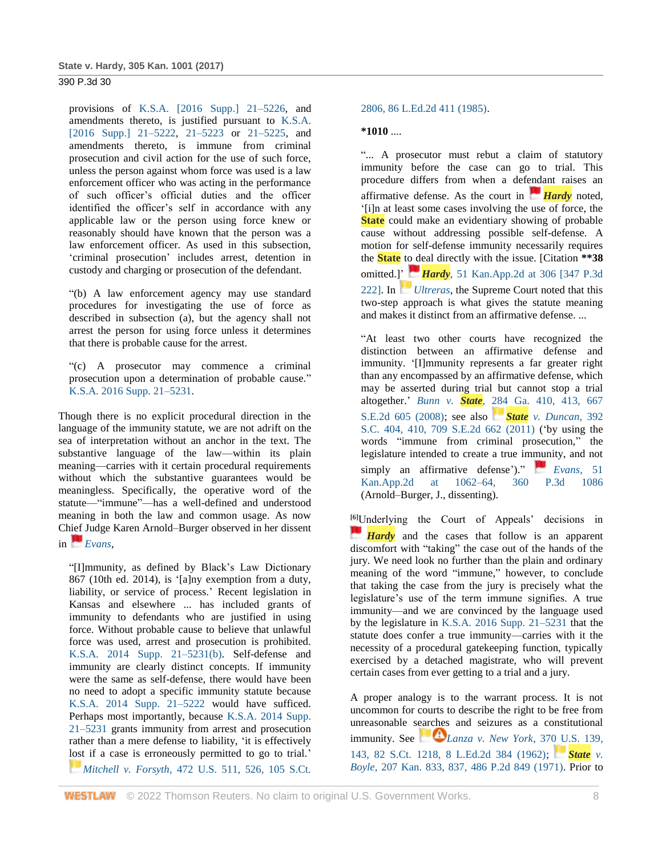provisions of [K.S.A. \[2016 Supp.\] 21–5226,](http://www.westlaw.com/Link/Document/FullText?findType=L&pubNum=1001553&cite=KSSTS21-5226&originatingDoc=Iac380380098211e7b984d2f99f0977c6&refType=LQ&originationContext=document&vr=3.0&rs=cblt1.0&transitionType=DocumentItem&contextData=(sc.Search)) and amendments thereto, is justified pursuant to [K.S.A.](http://www.westlaw.com/Link/Document/FullText?findType=L&pubNum=1001553&cite=KSSTS21-5222&originatingDoc=Iac380380098211e7b984d2f99f0977c6&refType=LQ&originationContext=document&vr=3.0&rs=cblt1.0&transitionType=DocumentItem&contextData=(sc.Search))  [\[2016 Supp.\] 21–5222,](http://www.westlaw.com/Link/Document/FullText?findType=L&pubNum=1001553&cite=KSSTS21-5222&originatingDoc=Iac380380098211e7b984d2f99f0977c6&refType=LQ&originationContext=document&vr=3.0&rs=cblt1.0&transitionType=DocumentItem&contextData=(sc.Search)) [21–5223](http://www.westlaw.com/Link/Document/FullText?findType=L&pubNum=1001553&cite=KSSTS21-5223&originatingDoc=Iac380380098211e7b984d2f99f0977c6&refType=LQ&originationContext=document&vr=3.0&rs=cblt1.0&transitionType=DocumentItem&contextData=(sc.Search)) or [21–5225,](http://www.westlaw.com/Link/Document/FullText?findType=L&pubNum=1001553&cite=KSSTS21-5225&originatingDoc=Iac380380098211e7b984d2f99f0977c6&refType=LQ&originationContext=document&vr=3.0&rs=cblt1.0&transitionType=DocumentItem&contextData=(sc.Search)) and amendments thereto, is immune from criminal prosecution and civil action for the use of such force, unless the person against whom force was used is a law enforcement officer who was acting in the performance of such officer's official duties and the officer identified the officer's self in accordance with any applicable law or the person using force knew or reasonably should have known that the person was a law enforcement officer. As used in this subsection, 'criminal prosecution' includes arrest, detention in custody and charging or prosecution of the defendant.

"(b) A law enforcement agency may use standard procedures for investigating the use of force as described in subsection (a), but the agency shall not arrest the person for using force unless it determines that there is probable cause for the arrest.

"(c) A prosecutor may commence a criminal prosecution upon a determination of probable cause." [K.S.A. 2016 Supp. 21–5231.](http://www.westlaw.com/Link/Document/FullText?findType=L&pubNum=1001553&cite=KSSTS21-5231&originatingDoc=Iac380380098211e7b984d2f99f0977c6&refType=LQ&originationContext=document&vr=3.0&rs=cblt1.0&transitionType=DocumentItem&contextData=(sc.Search))

Though there is no explicit procedural direction in the language of the immunity statute, we are not adrift on the sea of interpretation without an anchor in the text. The substantive language of the law—within its plain meaning—carries with it certain procedural requirements without which the substantive guarantees would be meaningless. Specifically, the operative word of the statute—"immune"—has a well-defined and understood meaning in both the law and common usage. As now Chief Judge Karen Arnold–Burger observed in her dissent in *[Evans](https://1.next.westlaw.com/Link/RelatedInformation/Flag?documentGuid=I281fbf097aa111e5a807ad48145ed9f1&transitionType=InlineKeyCiteFlags&originationContext=docHeaderFlag&Rank=1&ppcid=ff0e76f57f5a4df687371872e7b1430e&contextData=(sc.Search))*,

"[I]mmunity, as defined by Black's Law Dictionary 867 (10th ed. 2014), is '[a]ny exemption from a duty, liability, or service of process.' Recent legislation in Kansas and elsewhere ... has included grants of immunity to defendants who are justified in using force. Without probable cause to believe that unlawful force was used, arrest and prosecution is prohibited. [K.S.A. 2014 Supp. 21–5231\(b\).](http://www.westlaw.com/Link/Document/FullText?findType=L&pubNum=1001553&cite=KSSTS21-5231&originatingDoc=Iac380380098211e7b984d2f99f0977c6&refType=SP&originationContext=document&vr=3.0&rs=cblt1.0&transitionType=DocumentItem&contextData=(sc.Search)#co_pp_a83b000018c76) Self-defense and immunity are clearly distinct concepts. If immunity were the same as self-defense, there would have been no need to adopt a specific immunity statute because [K.S.A. 2014 Supp. 21–5222](http://www.westlaw.com/Link/Document/FullText?findType=L&pubNum=1001553&cite=KSSTS21-5222&originatingDoc=Iac380380098211e7b984d2f99f0977c6&refType=LQ&originationContext=document&vr=3.0&rs=cblt1.0&transitionType=DocumentItem&contextData=(sc.Search)) would have sufficed. Perhaps most importantly, because [K.S.A. 2014 Supp.](http://www.westlaw.com/Link/Document/FullText?findType=L&pubNum=1001553&cite=KSSTS21-5231&originatingDoc=Iac380380098211e7b984d2f99f0977c6&refType=LQ&originationContext=document&vr=3.0&rs=cblt1.0&transitionType=DocumentItem&contextData=(sc.Search))  [21–5231](http://www.westlaw.com/Link/Document/FullText?findType=L&pubNum=1001553&cite=KSSTS21-5231&originatingDoc=Iac380380098211e7b984d2f99f0977c6&refType=LQ&originationContext=document&vr=3.0&rs=cblt1.0&transitionType=DocumentItem&contextData=(sc.Search)) grants immunity from arrest and prosecution rather than a mere defense to liability, 'it is effectively lost if a case is erroneously permitted to go to trial.' *[M](https://1.next.westlaw.com/Link/RelatedInformation/Flag?documentGuid=I1786f4f49c1f11d993e6d35cc61aab4a&transitionType=InlineKeyCiteFlags&originationContext=docHeaderFlag&Rank=1&ppcid=ff0e76f57f5a4df687371872e7b1430e&contextData=(sc.Search))itchell v. Forsyth*[, 472 U.S. 511, 526, 105 S.Ct.](https://1.next.westlaw.com/Link/RelatedInformation/Flag?documentGuid=I1786f4f49c1f11d993e6d35cc61aab4a&transitionType=InlineKeyCiteFlags&originationContext=docHeaderFlag&Rank=1&ppcid=ff0e76f57f5a4df687371872e7b1430e&contextData=(sc.Search)) 

## [2806, 86 L.Ed.2d 411 \(1985\).](http://www.westlaw.com/Link/Document/FullText?findType=Y&serNum=1985131120&pubNum=0000780&originatingDoc=Iac380380098211e7b984d2f99f0977c6&refType=RP&fi=co_pp_sp_780_526&originationContext=document&vr=3.0&rs=cblt1.0&transitionType=DocumentItem&contextData=(sc.Search)#co_pp_sp_780_526)

## **\*1010** ....

"... A prosecutor must rebut a claim of statutory immunity before the case can go to trial. This procedure differs from when a defendant raises an affirmative defense. As the court in *[Hardy](https://1.next.westlaw.com/Link/RelatedInformation/Flag?documentGuid=I5df036e0d52411e4b4bafa136b480ad2&transitionType=InlineKeyCiteFlags&originationContext=docHeaderFlag&Rank=1&ppcid=ff0e76f57f5a4df687371872e7b1430e&contextData=(sc.Search))* noted, '[i]n at least some cases involving the use of force, the **State** could make an evidentiary showing of probable cause without addressing possible self-defense. A motion for self-defense immunity necessarily requires the **State** to deal directly with the issue. [Citation **\*\*38** omitted.]' *[H](https://1.next.westlaw.com/Link/RelatedInformation/Flag?documentGuid=I5df036e0d52411e4b4bafa136b480ad2&transitionType=InlineKeyCiteFlags&originationContext=docHeaderFlag&Rank=1&ppcid=ff0e76f57f5a4df687371872e7b1430e&contextData=(sc.Search))ardy*[, 51 Kan.App.2d at 306 \[347 P.3d](https://1.next.westlaw.com/Link/RelatedInformation/Flag?documentGuid=I5df036e0d52411e4b4bafa136b480ad2&transitionType=InlineKeyCiteFlags&originationContext=docHeaderFlag&Rank=1&ppcid=ff0e76f57f5a4df687371872e7b1430e&contextData=(sc.Search))  [222\].](http://www.westlaw.com/Link/Document/FullText?findType=Y&serNum=2035710271&pubNum=0000460&originatingDoc=Iac380380098211e7b984d2f99f0977c6&refType=RP&fi=co_pp_sp_460_306&originationContext=document&vr=3.0&rs=cblt1.0&transitionType=DocumentItem&contextData=(sc.Search)#co_pp_sp_460_306) In *[Ultreras](https://1.next.westlaw.com/Link/RelatedInformation/Flag?documentGuid=I57c99f38844411e2bae99fc449e7cd17&transitionType=InlineKeyCiteFlags&originationContext=docHeaderFlag&Rank=1&ppcid=ff0e76f57f5a4df687371872e7b1430e&contextData=(sc.Search))*, the Supreme Court noted that this two-step approach is what gives the statute meaning and makes it distinct from an affirmative defense. ...

"At least two other courts have recognized the distinction between an affirmative defense and immunity. '[I]mmunity represents a far greater right than any encompassed by an affirmative defense, which may be asserted during trial but cannot stop a trial altogether.' *Bunn v. State*[, 284 Ga. 410, 413, 667](http://www.westlaw.com/Link/Document/FullText?findType=Y&serNum=2017203602&pubNum=0000359&originatingDoc=Iac380380098211e7b984d2f99f0977c6&refType=RP&fi=co_pp_sp_359_413&originationContext=document&vr=3.0&rs=cblt1.0&transitionType=DocumentItem&contextData=(sc.Search)#co_pp_sp_359_413)  [S.E.2d 605 \(2008\);](http://www.westlaw.com/Link/Document/FullText?findType=Y&serNum=2017203602&pubNum=0000359&originatingDoc=Iac380380098211e7b984d2f99f0977c6&refType=RP&fi=co_pp_sp_359_413&originationContext=document&vr=3.0&rs=cblt1.0&transitionType=DocumentItem&contextData=(sc.Search)#co_pp_sp_359_413) see also *[S](https://1.next.westlaw.com/Link/RelatedInformation/Flag?documentGuid=I65661df77a4811e0a8a2938374af9660&transitionType=InlineKeyCiteFlags&originationContext=docHeaderFlag&Rank=1&ppcid=ff0e76f57f5a4df687371872e7b1430e&contextData=(sc.Search))tate [v. Duncan](https://1.next.westlaw.com/Link/RelatedInformation/Flag?documentGuid=I65661df77a4811e0a8a2938374af9660&transitionType=InlineKeyCiteFlags&originationContext=docHeaderFlag&Rank=1&ppcid=ff0e76f57f5a4df687371872e7b1430e&contextData=(sc.Search))*, 392 [S.C. 404, 410, 709 S.E.2d 662 \(2011\)](http://www.westlaw.com/Link/Document/FullText?findType=Y&serNum=2025246376&pubNum=0000705&originatingDoc=Iac380380098211e7b984d2f99f0977c6&refType=RP&fi=co_pp_sp_705_410&originationContext=document&vr=3.0&rs=cblt1.0&transitionType=DocumentItem&contextData=(sc.Search)#co_pp_sp_705_410) ('by using the words "immune from criminal prosecution," the legislature intended to create a true immunity, and not simply an affirmative defense')." *[Evans](https://1.next.westlaw.com/Link/RelatedInformation/Flag?documentGuid=I281fbf097aa111e5a807ad48145ed9f1&transitionType=InlineKeyCiteFlags&originationContext=docHeaderFlag&Rank=1&ppcid=ff0e76f57f5a4df687371872e7b1430e&contextData=(sc.Search))*, 51 [Kan.App.2d at 1062–64, 360 P.3d 1086](http://www.westlaw.com/Link/Document/FullText?findType=Y&serNum=2037450044&pubNum=0000460&originatingDoc=Iac380380098211e7b984d2f99f0977c6&refType=RP&fi=co_pp_sp_460_1062&originationContext=document&vr=3.0&rs=cblt1.0&transitionType=DocumentItem&contextData=(sc.Search)#co_pp_sp_460_1062) (Arnold–Burger, J., dissenting).

**[6]**Underlying the Court of Appeals' decisions in *[Hardy](https://1.next.westlaw.com/Link/RelatedInformation/Flag?documentGuid=I5df036e0d52411e4b4bafa136b480ad2&transitionType=InlineKeyCiteFlags&originationContext=docHeaderFlag&Rank=1&ppcid=ff0e76f57f5a4df687371872e7b1430e&contextData=(sc.Search))* and the cases that follow is an apparent discomfort with "taking" the case out of the hands of the jury. We need look no further than the plain and ordinary meaning of the word "immune," however, to conclude that taking the case from the jury is precisely what the legislature's use of the term immune signifies. A true immunity—and we are convinced by the language used by the legislature in [K.S.A. 2016 Supp. 21–5231](http://www.westlaw.com/Link/Document/FullText?findType=L&pubNum=1001553&cite=KSSTS21-5231&originatingDoc=Iac380380098211e7b984d2f99f0977c6&refType=LQ&originationContext=document&vr=3.0&rs=cblt1.0&transitionType=DocumentItem&contextData=(sc.Search)) that the statute does confer a true immunity—carries with it the necessity of a procedural gatekeeping function, typically exercised by a detached magistrate, who will prevent certain cases from ever getting to a trial and a jury.

A proper analogy is to the warrant process. It is not uncommon for courts to describe the right to be free from unreasonable searches and seizures as a constitutional immunity.See  $\blacksquare$  *[Lanza v. New York](http://www.westlaw.com/Link/Document/FullText?findType=Y&serNum=1962127635&pubNum=0000780&originatingDoc=Iac380380098211e7b984d2f99f0977c6&refType=RP&fi=co_pp_sp_780_143&originationContext=document&vr=3.0&rs=cblt1.0&transitionType=DocumentItem&contextData=(sc.Search)#co_pp_sp_780_143)*, 370 U.S. 139, [143, 82 S.Ct. 1218, 8 L.Ed.2d 384 \(1962\);](http://www.westlaw.com/Link/Document/FullText?findType=Y&serNum=1962127635&pubNum=0000780&originatingDoc=Iac380380098211e7b984d2f99f0977c6&refType=RP&fi=co_pp_sp_780_143&originationContext=document&vr=3.0&rs=cblt1.0&transitionType=DocumentItem&contextData=(sc.Search)#co_pp_sp_780_143) *[State](https://1.next.westlaw.com/Link/RelatedInformation/Flag?documentGuid=I6a5eb247f7c111d983e7e9deff98dc6f&transitionType=InlineKeyCiteFlags&originationContext=docHeaderFlag&Rank=1&ppcid=ff0e76f57f5a4df687371872e7b1430e&contextData=(sc.Search)) v. Boyle*[, 207 Kan. 833, 837, 486 P.2d 849 \(1971\).](http://www.westlaw.com/Link/Document/FullText?findType=Y&serNum=1971124701&pubNum=0000458&originatingDoc=Iac380380098211e7b984d2f99f0977c6&refType=RP&fi=co_pp_sp_458_837&originationContext=document&vr=3.0&rs=cblt1.0&transitionType=DocumentItem&contextData=(sc.Search)#co_pp_sp_458_837) Prior to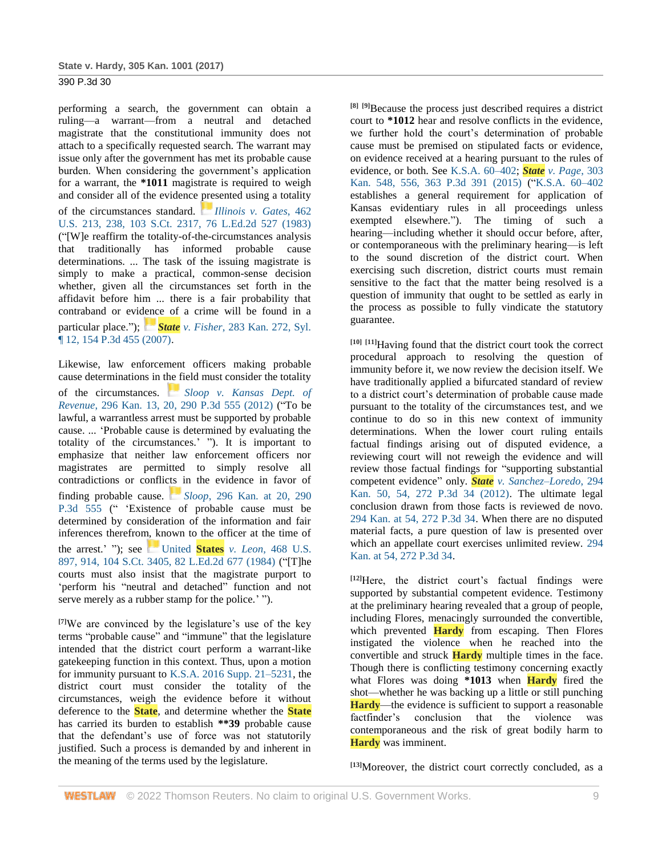performing a search, the government can obtain a ruling—a warrant—from a neutral and detached magistrate that the constitutional immunity does not attach to a specifically requested search. The warrant may issue only after the government has met its probable cause burden. When considering the government's application for a warrant, the **\*1011** magistrate is required to weigh and consider all of the evidence presented using a totality of the circumstances standard. *[Illinois v. Gates](https://1.next.westlaw.com/Link/RelatedInformation/Flag?documentGuid=Id015b00b9ae911d9bdd1cfdd544ca3a4&transitionType=InlineKeyCiteFlags&originationContext=docHeaderFlag&Rank=1&ppcid=ff0e76f57f5a4df687371872e7b1430e&contextData=(sc.Search))*, 462 [U.S. 213, 238, 103 S.Ct. 2317, 76 L.Ed.2d 527 \(1983\)](http://www.westlaw.com/Link/Document/FullText?findType=Y&serNum=1983126672&pubNum=0000780&originatingDoc=Iac380380098211e7b984d2f99f0977c6&refType=RP&fi=co_pp_sp_780_238&originationContext=document&vr=3.0&rs=cblt1.0&transitionType=DocumentItem&contextData=(sc.Search)#co_pp_sp_780_238) ("[W]e reaffirm the totality-of-the-circumstances analysis that traditionally has informed probable cause determinations. ... The task of the issuing magistrate is simply to make a practical, common-sense decision whether, given all the circumstances set forth in the affidavit before him ... there is a fair probability that contraband or evidence of a crime will be found in a particular place."); *[S](https://1.next.westlaw.com/Link/RelatedInformation/Flag?documentGuid=I21c6e7bdd3b011dbaf8dafd7ee2b8b26&transitionType=InlineKeyCiteFlags&originationContext=docHeaderFlag&Rank=1&ppcid=ff0e76f57f5a4df687371872e7b1430e&contextData=(sc.Search))tate v. Fisher*[, 283 Kan. 272, Syl.](https://1.next.westlaw.com/Link/RelatedInformation/Flag?documentGuid=I21c6e7bdd3b011dbaf8dafd7ee2b8b26&transitionType=InlineKeyCiteFlags&originationContext=docHeaderFlag&Rank=1&ppcid=ff0e76f57f5a4df687371872e7b1430e&contextData=(sc.Search))  [¶ 12, 154 P.3d 455 \(2007\).](http://www.westlaw.com/Link/Document/FullText?findType=Y&serNum=2011706599&pubNum=0004645&originatingDoc=Iac380380098211e7b984d2f99f0977c6&refType=RP&originationContext=document&vr=3.0&rs=cblt1.0&transitionType=DocumentItem&contextData=(sc.Search))

Likewise, law enforcement officers making probable cause determinations in the field must consider the totality of the circumstances. *[Sloop v. Kansas Dept. of](https://1.next.westlaw.com/Link/RelatedInformation/Flag?documentGuid=Id7cbf098462411e287a9c52cdddac4f7&transitionType=InlineKeyCiteFlags&originationContext=docHeaderFlag&Rank=1&ppcid=ff0e76f57f5a4df687371872e7b1430e&contextData=(sc.Search))  Revenue*[, 296 Kan. 13, 20, 290 P.3d 555 \(2012\)](http://www.westlaw.com/Link/Document/FullText?findType=Y&serNum=2029431947&pubNum=0000458&originatingDoc=Iac380380098211e7b984d2f99f0977c6&refType=RP&fi=co_pp_sp_458_20&originationContext=document&vr=3.0&rs=cblt1.0&transitionType=DocumentItem&contextData=(sc.Search)#co_pp_sp_458_20) ("To be lawful, a warrantless arrest must be supported by probable cause. ... 'Probable cause is determined by evaluating the totality of the circumstances.' "). It is important to emphasize that neither law enforcement officers nor magistrates are permitted to simply resolve all contradictions or conflicts in the evidence in favor of finding probable cause. *[S](https://1.next.westlaw.com/Link/RelatedInformation/Flag?documentGuid=Id7cbf098462411e287a9c52cdddac4f7&transitionType=InlineKeyCiteFlags&originationContext=docHeaderFlag&Rank=1&ppcid=ff0e76f57f5a4df687371872e7b1430e&contextData=(sc.Search))loop*[, 296 Kan. at 20, 290](https://1.next.westlaw.com/Link/RelatedInformation/Flag?documentGuid=Id7cbf098462411e287a9c52cdddac4f7&transitionType=InlineKeyCiteFlags&originationContext=docHeaderFlag&Rank=1&ppcid=ff0e76f57f5a4df687371872e7b1430e&contextData=(sc.Search))  [P.3d 555](http://www.westlaw.com/Link/Document/FullText?findType=Y&serNum=2029431947&pubNum=0000458&originatingDoc=Iac380380098211e7b984d2f99f0977c6&refType=RP&fi=co_pp_sp_458_20&originationContext=document&vr=3.0&rs=cblt1.0&transitionType=DocumentItem&contextData=(sc.Search)#co_pp_sp_458_20) (" 'Existence of probable cause must be determined by consideration of the information and fair inferences therefrom, known to the officer at the time of the arrest.' "); see [U](https://1.next.westlaw.com/Link/RelatedInformation/Flag?documentGuid=I236602289c1e11d9bdd1cfdd544ca3a4&transitionType=InlineKeyCiteFlags&originationContext=docHeaderFlag&Rank=1&ppcid=ff0e76f57f5a4df687371872e7b1430e&contextData=(sc.Search))nited **States** *v. Leon*[, 468 U.S.](https://1.next.westlaw.com/Link/RelatedInformation/Flag?documentGuid=I236602289c1e11d9bdd1cfdd544ca3a4&transitionType=InlineKeyCiteFlags&originationContext=docHeaderFlag&Rank=1&ppcid=ff0e76f57f5a4df687371872e7b1430e&contextData=(sc.Search))  [897, 914, 104 S.Ct. 3405, 82 L.Ed.2d 677 \(1984\)](http://www.westlaw.com/Link/Document/FullText?findType=Y&serNum=1984132647&pubNum=0000780&originatingDoc=Iac380380098211e7b984d2f99f0977c6&refType=RP&fi=co_pp_sp_780_914&originationContext=document&vr=3.0&rs=cblt1.0&transitionType=DocumentItem&contextData=(sc.Search)#co_pp_sp_780_914) ("[T]he courts must also insist that the magistrate purport to 'perform his "neutral and detached" function and not serve merely as a rubber stamp for the police.' ").

**[7]**We are convinced by the legislature's use of the key terms "probable cause" and "immune" that the legislature intended that the district court perform a warrant-like gatekeeping function in this context. Thus, upon a motion for immunity pursuant to [K.S.A. 2016 Supp. 21–5231,](http://www.westlaw.com/Link/Document/FullText?findType=L&pubNum=1001553&cite=KSSTS21-5231&originatingDoc=Iac380380098211e7b984d2f99f0977c6&refType=LQ&originationContext=document&vr=3.0&rs=cblt1.0&transitionType=DocumentItem&contextData=(sc.Search)) the district court must consider the totality of the circumstances, weigh the evidence before it without deference to the **State**, and determine whether the **State** has carried its burden to establish **\*\*39** probable cause that the defendant's use of force was not statutorily justified. Such a process is demanded by and inherent in the meaning of the terms used by the legislature.

**[8] [9]**Because the process just described requires a district court to **\*1012** hear and resolve conflicts in the evidence, we further hold the court's determination of probable cause must be premised on stipulated facts or evidence, on evidence received at a hearing pursuant to the rules of evidence, or both. See [K.S.A. 60–402;](http://www.westlaw.com/Link/Document/FullText?findType=L&pubNum=1001553&cite=KSSTS60-402&originatingDoc=Iac380380098211e7b984d2f99f0977c6&refType=LQ&originationContext=document&vr=3.0&rs=cblt1.0&transitionType=DocumentItem&contextData=(sc.Search)) *State [v. Page](http://www.westlaw.com/Link/Document/FullText?findType=Y&serNum=2037921542&pubNum=0000458&originatingDoc=Iac380380098211e7b984d2f99f0977c6&refType=RP&fi=co_pp_sp_458_556&originationContext=document&vr=3.0&rs=cblt1.0&transitionType=DocumentItem&contextData=(sc.Search)#co_pp_sp_458_556)*, 303 [Kan. 548, 556, 363 P.3d 391 \(2015\)](http://www.westlaw.com/Link/Document/FullText?findType=Y&serNum=2037921542&pubNum=0000458&originatingDoc=Iac380380098211e7b984d2f99f0977c6&refType=RP&fi=co_pp_sp_458_556&originationContext=document&vr=3.0&rs=cblt1.0&transitionType=DocumentItem&contextData=(sc.Search)#co_pp_sp_458_556) (["K.S.A. 60–402](http://www.westlaw.com/Link/Document/FullText?findType=L&pubNum=1001553&cite=KSSTS60-402&originatingDoc=Iac380380098211e7b984d2f99f0977c6&refType=LQ&originationContext=document&vr=3.0&rs=cblt1.0&transitionType=DocumentItem&contextData=(sc.Search)) establishes a general requirement for application of Kansas evidentiary rules in all proceedings unless exempted elsewhere."). The timing of such a hearing—including whether it should occur before, after, or contemporaneous with the preliminary hearing—is left to the sound discretion of the district court. When exercising such discretion, district courts must remain sensitive to the fact that the matter being resolved is a question of immunity that ought to be settled as early in the process as possible to fully vindicate the statutory guarantee.

**[10] [11]**Having found that the district court took the correct procedural approach to resolving the question of immunity before it, we now review the decision itself. We have traditionally applied a bifurcated standard of review to a district court's determination of probable cause made pursuant to the totality of the circumstances test, and we continue to do so in this new context of immunity determinations. When the lower court ruling entails factual findings arising out of disputed evidence, a reviewing court will not reweigh the evidence and will review those factual findings for "supporting substantial competent evidence" only. *State [v. Sanchez–Loredo](http://www.westlaw.com/Link/Document/FullText?findType=Y&serNum=2027368836&pubNum=0000458&originatingDoc=Iac380380098211e7b984d2f99f0977c6&refType=RP&fi=co_pp_sp_458_54&originationContext=document&vr=3.0&rs=cblt1.0&transitionType=DocumentItem&contextData=(sc.Search)#co_pp_sp_458_54)*, 294 [Kan. 50, 54, 272 P.3d 34 \(2012\).](http://www.westlaw.com/Link/Document/FullText?findType=Y&serNum=2027368836&pubNum=0000458&originatingDoc=Iac380380098211e7b984d2f99f0977c6&refType=RP&fi=co_pp_sp_458_54&originationContext=document&vr=3.0&rs=cblt1.0&transitionType=DocumentItem&contextData=(sc.Search)#co_pp_sp_458_54) The ultimate legal conclusion drawn from those facts is reviewed de novo. [294 Kan. at 54, 272 P.3d 34.](http://www.westlaw.com/Link/Document/FullText?findType=Y&serNum=2027368836&pubNum=0000458&originatingDoc=Iac380380098211e7b984d2f99f0977c6&refType=RP&fi=co_pp_sp_458_54&originationContext=document&vr=3.0&rs=cblt1.0&transitionType=DocumentItem&contextData=(sc.Search)#co_pp_sp_458_54) When there are no disputed material facts, a pure question of law is presented over which an appellate court exercises unlimited review. [294](http://www.westlaw.com/Link/Document/FullText?findType=Y&serNum=2027368836&pubNum=0000458&originatingDoc=Iac380380098211e7b984d2f99f0977c6&refType=RP&fi=co_pp_sp_458_54&originationContext=document&vr=3.0&rs=cblt1.0&transitionType=DocumentItem&contextData=(sc.Search)#co_pp_sp_458_54)  [Kan. at 54, 272 P.3d 34.](http://www.westlaw.com/Link/Document/FullText?findType=Y&serNum=2027368836&pubNum=0000458&originatingDoc=Iac380380098211e7b984d2f99f0977c6&refType=RP&fi=co_pp_sp_458_54&originationContext=document&vr=3.0&rs=cblt1.0&transitionType=DocumentItem&contextData=(sc.Search)#co_pp_sp_458_54)

**[12]**Here, the district court's factual findings were supported by substantial competent evidence. Testimony at the preliminary hearing revealed that a group of people, including Flores, menacingly surrounded the convertible, which prevented **Hardy** from escaping. Then Flores instigated the violence when he reached into the convertible and struck **Hardy** multiple times in the face. Though there is conflicting testimony concerning exactly what Flores was doing **\*1013** when **Hardy** fired the shot—whether he was backing up a little or still punching **Hardy**—the evidence is sufficient to support a reasonable factfinder's conclusion that the violence was contemporaneous and the risk of great bodily harm to **Hardy** was imminent.

**[13]**Moreover, the district court correctly concluded, as a